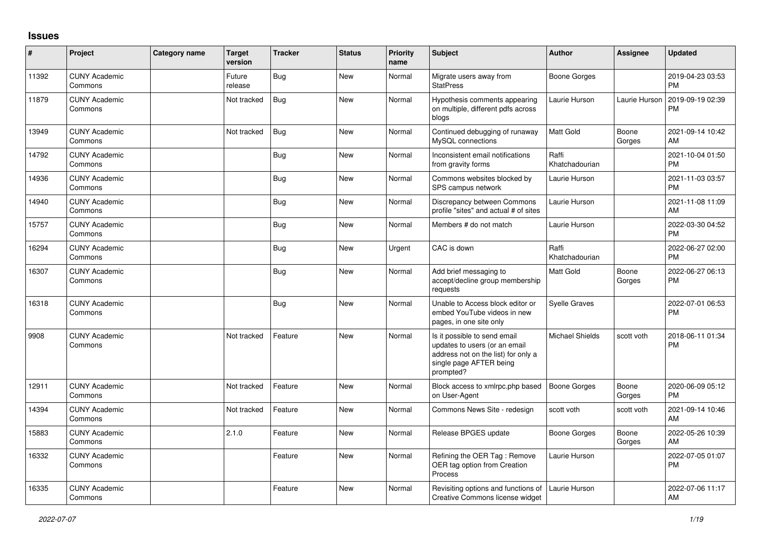## **Issues**

| $\vert$ # | Project                         | Category name | <b>Target</b><br>version | <b>Tracker</b> | <b>Status</b> | <b>Priority</b><br>name | <b>Subject</b>                                                                                                                               | Author                  | <b>Assignee</b> | <b>Updated</b>                |
|-----------|---------------------------------|---------------|--------------------------|----------------|---------------|-------------------------|----------------------------------------------------------------------------------------------------------------------------------------------|-------------------------|-----------------|-------------------------------|
| 11392     | <b>CUNY Academic</b><br>Commons |               | Future<br>release        | Bug            | <b>New</b>    | Normal                  | Migrate users away from<br><b>StatPress</b>                                                                                                  | Boone Gorges            |                 | 2019-04-23 03:53<br><b>PM</b> |
| 11879     | <b>CUNY Academic</b><br>Commons |               | Not tracked              | <b>Bug</b>     | <b>New</b>    | Normal                  | Hypothesis comments appearing<br>on multiple, different pdfs across<br>blogs                                                                 | Laurie Hurson           | Laurie Hurson   | 2019-09-19 02:39<br><b>PM</b> |
| 13949     | <b>CUNY Academic</b><br>Commons |               | Not tracked              | <b>Bug</b>     | New           | Normal                  | Continued debugging of runaway<br>MySQL connections                                                                                          | <b>Matt Gold</b>        | Boone<br>Gorges | 2021-09-14 10:42<br>AM        |
| 14792     | <b>CUNY Academic</b><br>Commons |               |                          | Bug            | <b>New</b>    | Normal                  | Inconsistent email notifications<br>from gravity forms                                                                                       | Raffi<br>Khatchadourian |                 | 2021-10-04 01:50<br><b>PM</b> |
| 14936     | <b>CUNY Academic</b><br>Commons |               |                          | <b>Bug</b>     | <b>New</b>    | Normal                  | Commons websites blocked by<br>SPS campus network                                                                                            | Laurie Hurson           |                 | 2021-11-03 03:57<br><b>PM</b> |
| 14940     | <b>CUNY Academic</b><br>Commons |               |                          | Bug            | <b>New</b>    | Normal                  | Discrepancy between Commons<br>profile "sites" and actual # of sites                                                                         | Laurie Hurson           |                 | 2021-11-08 11:09<br>AM        |
| 15757     | <b>CUNY Academic</b><br>Commons |               |                          | <b>Bug</b>     | <b>New</b>    | Normal                  | Members # do not match                                                                                                                       | Laurie Hurson           |                 | 2022-03-30 04:52<br><b>PM</b> |
| 16294     | <b>CUNY Academic</b><br>Commons |               |                          | Bug            | <b>New</b>    | Urgent                  | CAC is down                                                                                                                                  | Raffi<br>Khatchadourian |                 | 2022-06-27 02:00<br><b>PM</b> |
| 16307     | <b>CUNY Academic</b><br>Commons |               |                          | <b>Bug</b>     | <b>New</b>    | Normal                  | Add brief messaging to<br>accept/decline group membership<br>requests                                                                        | <b>Matt Gold</b>        | Boone<br>Gorges | 2022-06-27 06:13<br><b>PM</b> |
| 16318     | <b>CUNY Academic</b><br>Commons |               |                          | <b>Bug</b>     | <b>New</b>    | Normal                  | Unable to Access block editor or<br>embed YouTube videos in new<br>pages, in one site only                                                   | <b>Syelle Graves</b>    |                 | 2022-07-01 06:53<br>PM        |
| 9908      | <b>CUNY Academic</b><br>Commons |               | Not tracked              | Feature        | <b>New</b>    | Normal                  | Is it possible to send email<br>updates to users (or an email<br>address not on the list) for only a<br>single page AFTER being<br>prompted? | <b>Michael Shields</b>  | scott voth      | 2018-06-11 01:34<br><b>PM</b> |
| 12911     | <b>CUNY Academic</b><br>Commons |               | Not tracked              | Feature        | <b>New</b>    | Normal                  | Block access to xmlrpc.php based<br>on User-Agent                                                                                            | Boone Gorges            | Boone<br>Gorges | 2020-06-09 05:12<br><b>PM</b> |
| 14394     | <b>CUNY Academic</b><br>Commons |               | Not tracked              | Feature        | New           | Normal                  | Commons News Site - redesign                                                                                                                 | scott voth              | scott voth      | 2021-09-14 10:46<br>AM        |
| 15883     | <b>CUNY Academic</b><br>Commons |               | 2.1.0                    | Feature        | <b>New</b>    | Normal                  | Release BPGES update                                                                                                                         | Boone Gorges            | Boone<br>Gorges | 2022-05-26 10:39<br>AM        |
| 16332     | <b>CUNY Academic</b><br>Commons |               |                          | Feature        | <b>New</b>    | Normal                  | Refining the OER Tag: Remove<br>OER tag option from Creation<br>Process                                                                      | Laurie Hurson           |                 | 2022-07-05 01:07<br><b>PM</b> |
| 16335     | <b>CUNY Academic</b><br>Commons |               |                          | Feature        | <b>New</b>    | Normal                  | Revisiting options and functions of Laurie Hurson<br>Creative Commons license widget                                                         |                         |                 | 2022-07-06 11:17<br>AM        |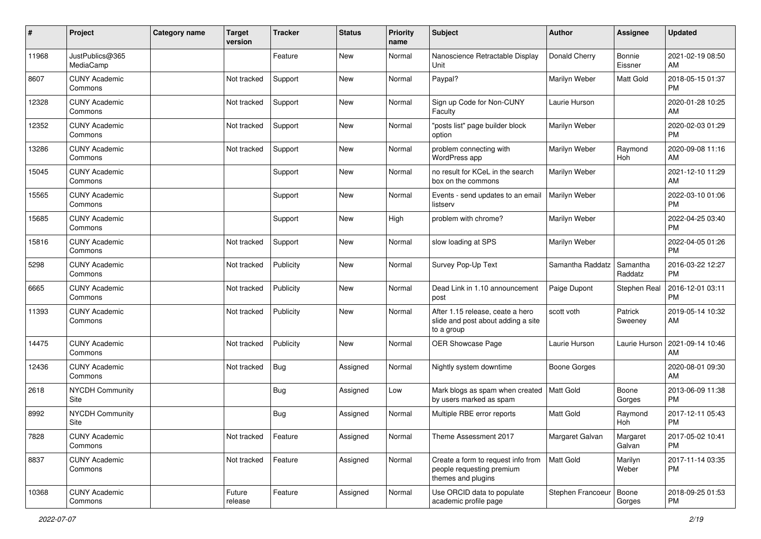| $\pmb{\#}$ | Project                         | Category name | <b>Target</b><br>version | <b>Tracker</b> | <b>Status</b> | <b>Priority</b><br>name | <b>Subject</b>                                                                        | Author              | <b>Assignee</b>     | <b>Updated</b>                |
|------------|---------------------------------|---------------|--------------------------|----------------|---------------|-------------------------|---------------------------------------------------------------------------------------|---------------------|---------------------|-------------------------------|
| 11968      | JustPublics@365<br>MediaCamp    |               |                          | Feature        | <b>New</b>    | Normal                  | Nanoscience Retractable Display<br>Unit                                               | Donald Cherry       | Bonnie<br>Eissner   | 2021-02-19 08:50<br>AM        |
| 8607       | <b>CUNY Academic</b><br>Commons |               | Not tracked              | Support        | New           | Normal                  | Paypal?                                                                               | Marilyn Weber       | Matt Gold           | 2018-05-15 01:37<br><b>PM</b> |
| 12328      | <b>CUNY Academic</b><br>Commons |               | Not tracked              | Support        | <b>New</b>    | Normal                  | Sign up Code for Non-CUNY<br>Faculty                                                  | Laurie Hurson       |                     | 2020-01-28 10:25<br>AM        |
| 12352      | <b>CUNY Academic</b><br>Commons |               | Not tracked              | Support        | <b>New</b>    | Normal                  | "posts list" page builder block<br>option                                             | Marilyn Weber       |                     | 2020-02-03 01:29<br><b>PM</b> |
| 13286      | <b>CUNY Academic</b><br>Commons |               | Not tracked              | Support        | <b>New</b>    | Normal                  | problem connecting with<br>WordPress app                                              | Marilyn Weber       | Raymond<br>Hoh      | 2020-09-08 11:16<br>AM        |
| 15045      | <b>CUNY Academic</b><br>Commons |               |                          | Support        | <b>New</b>    | Normal                  | no result for KCeL in the search<br>box on the commons                                | Marilyn Weber       |                     | 2021-12-10 11:29<br>AM        |
| 15565      | <b>CUNY Academic</b><br>Commons |               |                          | Support        | <b>New</b>    | Normal                  | Events - send updates to an email<br>listserv                                         | Marilyn Weber       |                     | 2022-03-10 01:06<br><b>PM</b> |
| 15685      | <b>CUNY Academic</b><br>Commons |               |                          | Support        | <b>New</b>    | High                    | problem with chrome?                                                                  | Marilyn Weber       |                     | 2022-04-25 03:40<br><b>PM</b> |
| 15816      | <b>CUNY Academic</b><br>Commons |               | Not tracked              | Support        | New           | Normal                  | slow loading at SPS                                                                   | Marilyn Weber       |                     | 2022-04-05 01:26<br><b>PM</b> |
| 5298       | <b>CUNY Academic</b><br>Commons |               | Not tracked              | Publicity      | <b>New</b>    | Normal                  | Survey Pop-Up Text                                                                    | Samantha Raddatz    | Samantha<br>Raddatz | 2016-03-22 12:27<br><b>PM</b> |
| 6665       | <b>CUNY Academic</b><br>Commons |               | Not tracked              | Publicity      | <b>New</b>    | Normal                  | Dead Link in 1.10 announcement<br>post                                                | Paige Dupont        | <b>Stephen Real</b> | 2016-12-01 03:11<br><b>PM</b> |
| 11393      | <b>CUNY Academic</b><br>Commons |               | Not tracked              | Publicity      | <b>New</b>    | Normal                  | After 1.15 release, ceate a hero<br>slide and post about adding a site<br>to a group  | scott voth          | Patrick<br>Sweeney  | 2019-05-14 10:32<br>AM        |
| 14475      | <b>CUNY Academic</b><br>Commons |               | Not tracked              | Publicity      | <b>New</b>    | Normal                  | OER Showcase Page                                                                     | Laurie Hurson       | Laurie Hurson       | 2021-09-14 10:46<br>AM        |
| 12436      | <b>CUNY Academic</b><br>Commons |               | Not tracked              | <b>Bug</b>     | Assigned      | Normal                  | Nightly system downtime                                                               | <b>Boone Gorges</b> |                     | 2020-08-01 09:30<br>AM        |
| 2618       | <b>NYCDH Community</b><br>Site  |               |                          | <b>Bug</b>     | Assigned      | Low                     | Mark blogs as spam when created<br>by users marked as spam                            | Matt Gold           | Boone<br>Gorges     | 2013-06-09 11:38<br><b>PM</b> |
| 8992       | NYCDH Community<br>Site         |               |                          | <b>Bug</b>     | Assigned      | Normal                  | Multiple RBE error reports                                                            | <b>Matt Gold</b>    | Raymond<br>Hoh      | 2017-12-11 05:43<br><b>PM</b> |
| 7828       | <b>CUNY Academic</b><br>Commons |               | Not tracked              | Feature        | Assigned      | Normal                  | Theme Assessment 2017                                                                 | Margaret Galvan     | Margaret<br>Galvan  | 2017-05-02 10:41<br>PM        |
| 8837       | <b>CUNY Academic</b><br>Commons |               | Not tracked              | Feature        | Assigned      | Normal                  | Create a form to request info from<br>people requesting premium<br>themes and plugins | Matt Gold           | Marilyn<br>Weber    | 2017-11-14 03:35<br><b>PM</b> |
| 10368      | <b>CUNY Academic</b><br>Commons |               | Future<br>release        | Feature        | Assigned      | Normal                  | Use ORCID data to populate<br>academic profile page                                   | Stephen Francoeur   | Boone<br>Gorges     | 2018-09-25 01:53<br><b>PM</b> |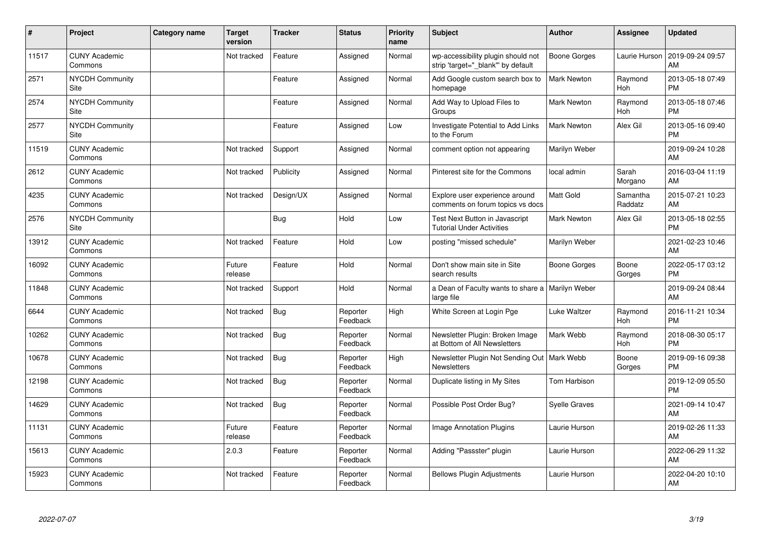| #     | Project                         | Category name | <b>Target</b><br>version | <b>Tracker</b> | <b>Status</b>        | Priority<br>name | <b>Subject</b>                                                            | Author               | <b>Assignee</b>     | <b>Updated</b>                |
|-------|---------------------------------|---------------|--------------------------|----------------|----------------------|------------------|---------------------------------------------------------------------------|----------------------|---------------------|-------------------------------|
| 11517 | <b>CUNY Academic</b><br>Commons |               | Not tracked              | Feature        | Assigned             | Normal           | wp-accessibility plugin should not<br>strip 'target="_blank" by default   | <b>Boone Gorges</b>  | Laurie Hurson       | 2019-09-24 09:57<br>AM        |
| 2571  | NYCDH Community<br>Site         |               |                          | Feature        | Assigned             | Normal           | Add Google custom search box to<br>homepage                               | <b>Mark Newton</b>   | Raymond<br>Hoh      | 2013-05-18 07:49<br><b>PM</b> |
| 2574  | <b>NYCDH Community</b><br>Site  |               |                          | Feature        | Assigned             | Normal           | Add Way to Upload Files to<br>Groups                                      | <b>Mark Newton</b>   | Raymond<br>Hoh      | 2013-05-18 07:46<br><b>PM</b> |
| 2577  | <b>NYCDH Community</b><br>Site  |               |                          | Feature        | Assigned             | Low              | Investigate Potential to Add Links<br>to the Forum                        | <b>Mark Newton</b>   | Alex Gil            | 2013-05-16 09:40<br><b>PM</b> |
| 11519 | <b>CUNY Academic</b><br>Commons |               | Not tracked              | Support        | Assigned             | Normal           | comment option not appearing                                              | Marilyn Weber        |                     | 2019-09-24 10:28<br>AM        |
| 2612  | <b>CUNY Academic</b><br>Commons |               | Not tracked              | Publicity      | Assigned             | Normal           | Pinterest site for the Commons                                            | local admin          | Sarah<br>Morgano    | 2016-03-04 11:19<br>AM        |
| 4235  | <b>CUNY Academic</b><br>Commons |               | Not tracked              | Design/UX      | Assigned             | Normal           | Explore user experience around<br>comments on forum topics vs docs        | <b>Matt Gold</b>     | Samantha<br>Raddatz | 2015-07-21 10:23<br>AM        |
| 2576  | <b>NYCDH Community</b><br>Site  |               |                          | Bug            | Hold                 | Low              | <b>Test Next Button in Javascript</b><br><b>Tutorial Under Activities</b> | <b>Mark Newton</b>   | Alex Gil            | 2013-05-18 02:55<br><b>PM</b> |
| 13912 | <b>CUNY Academic</b><br>Commons |               | Not tracked              | Feature        | Hold                 | Low              | posting "missed schedule"                                                 | Marilyn Weber        |                     | 2021-02-23 10:46<br>AM        |
| 16092 | <b>CUNY Academic</b><br>Commons |               | Future<br>release        | Feature        | Hold                 | Normal           | Don't show main site in Site<br>search results                            | <b>Boone Gorges</b>  | Boone<br>Gorges     | 2022-05-17 03:12<br><b>PM</b> |
| 11848 | <b>CUNY Academic</b><br>Commons |               | Not tracked              | Support        | Hold                 | Normal           | a Dean of Faculty wants to share a<br>large file                          | Marilyn Weber        |                     | 2019-09-24 08:44<br>AM        |
| 6644  | <b>CUNY Academic</b><br>Commons |               | Not tracked              | <b>Bug</b>     | Reporter<br>Feedback | High             | White Screen at Login Pge                                                 | Luke Waltzer         | Raymond<br>Hoh      | 2016-11-21 10:34<br><b>PM</b> |
| 10262 | <b>CUNY Academic</b><br>Commons |               | Not tracked              | <b>Bug</b>     | Reporter<br>Feedback | Normal           | Newsletter Plugin: Broken Image<br>at Bottom of All Newsletters           | Mark Webb            | Raymond<br>Hoh      | 2018-08-30 05:17<br><b>PM</b> |
| 10678 | <b>CUNY Academic</b><br>Commons |               | Not tracked              | <b>Bug</b>     | Reporter<br>Feedback | High             | Newsletter Plugin Not Sending Out   Mark Webb<br><b>Newsletters</b>       |                      | Boone<br>Gorges     | 2019-09-16 09:38<br><b>PM</b> |
| 12198 | <b>CUNY Academic</b><br>Commons |               | Not tracked              | Bug            | Reporter<br>Feedback | Normal           | Duplicate listing in My Sites                                             | <b>Tom Harbison</b>  |                     | 2019-12-09 05:50<br><b>PM</b> |
| 14629 | <b>CUNY Academic</b><br>Commons |               | Not tracked              | Bug            | Reporter<br>Feedback | Normal           | Possible Post Order Bug?                                                  | <b>Syelle Graves</b> |                     | 2021-09-14 10:47<br>AM        |
| 11131 | <b>CUNY Academic</b><br>Commons |               | Future<br>release        | Feature        | Reporter<br>Feedback | Normal           | Image Annotation Plugins                                                  | Laurie Hurson        |                     | 2019-02-26 11:33<br>AM        |
| 15613 | <b>CUNY Academic</b><br>Commons |               | 2.0.3                    | Feature        | Reporter<br>Feedback | Normal           | Adding "Passster" plugin                                                  | Laurie Hurson        |                     | 2022-06-29 11:32<br>AM        |
| 15923 | <b>CUNY Academic</b><br>Commons |               | Not tracked              | Feature        | Reporter<br>Feedback | Normal           | <b>Bellows Plugin Adjustments</b>                                         | Laurie Hurson        |                     | 2022-04-20 10:10<br>AM        |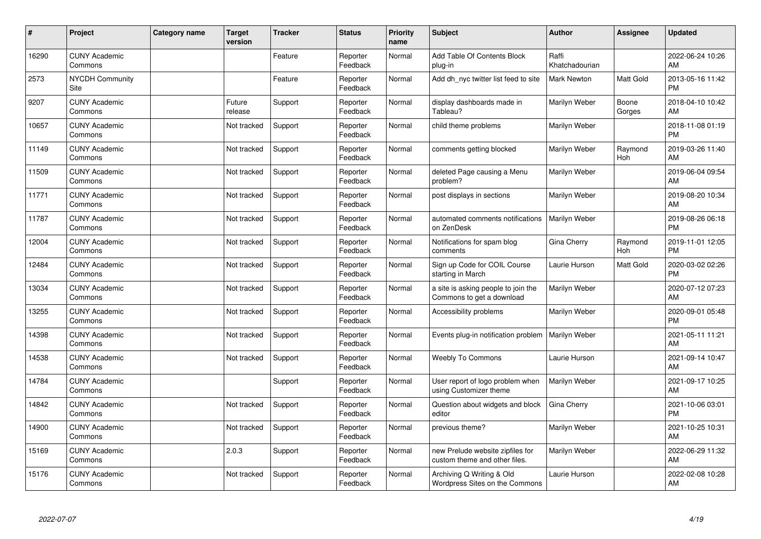| #     | Project                         | Category name | <b>Target</b><br>version | <b>Tracker</b> | <b>Status</b>        | Priority<br>name | Subject                                                           | <b>Author</b>           | <b>Assignee</b> | <b>Updated</b>                |
|-------|---------------------------------|---------------|--------------------------|----------------|----------------------|------------------|-------------------------------------------------------------------|-------------------------|-----------------|-------------------------------|
| 16290 | <b>CUNY Academic</b><br>Commons |               |                          | Feature        | Reporter<br>Feedback | Normal           | <b>Add Table Of Contents Block</b><br>plug-in                     | Raffi<br>Khatchadourian |                 | 2022-06-24 10:26<br>AM        |
| 2573  | <b>NYCDH Community</b><br>Site  |               |                          | Feature        | Reporter<br>Feedback | Normal           | Add dh_nyc twitter list feed to site                              | <b>Mark Newton</b>      | Matt Gold       | 2013-05-16 11:42<br><b>PM</b> |
| 9207  | <b>CUNY Academic</b><br>Commons |               | Future<br>release        | Support        | Reporter<br>Feedback | Normal           | display dashboards made in<br>Tableau?                            | Marilyn Weber           | Boone<br>Gorges | 2018-04-10 10:42<br>AM        |
| 10657 | <b>CUNY Academic</b><br>Commons |               | Not tracked              | Support        | Reporter<br>Feedback | Normal           | child theme problems                                              | Marilyn Weber           |                 | 2018-11-08 01:19<br><b>PM</b> |
| 11149 | <b>CUNY Academic</b><br>Commons |               | Not tracked              | Support        | Reporter<br>Feedback | Normal           | comments getting blocked                                          | Marilyn Weber           | Raymond<br>Hoh  | 2019-03-26 11:40<br>AM        |
| 11509 | <b>CUNY Academic</b><br>Commons |               | Not tracked              | Support        | Reporter<br>Feedback | Normal           | deleted Page causing a Menu<br>problem?                           | Marilyn Weber           |                 | 2019-06-04 09:54<br>AM        |
| 11771 | <b>CUNY Academic</b><br>Commons |               | Not tracked              | Support        | Reporter<br>Feedback | Normal           | post displays in sections                                         | Marilyn Weber           |                 | 2019-08-20 10:34<br>AM        |
| 11787 | <b>CUNY Academic</b><br>Commons |               | Not tracked              | Support        | Reporter<br>Feedback | Normal           | automated comments notifications<br>on ZenDesk                    | Marilyn Weber           |                 | 2019-08-26 06:18<br><b>PM</b> |
| 12004 | <b>CUNY Academic</b><br>Commons |               | Not tracked              | Support        | Reporter<br>Feedback | Normal           | Notifications for spam blog<br>comments                           | Gina Cherry             | Raymond<br>Hoh  | 2019-11-01 12:05<br><b>PM</b> |
| 12484 | <b>CUNY Academic</b><br>Commons |               | Not tracked              | Support        | Reporter<br>Feedback | Normal           | Sign up Code for COIL Course<br>starting in March                 | Laurie Hurson           | Matt Gold       | 2020-03-02 02:26<br><b>PM</b> |
| 13034 | <b>CUNY Academic</b><br>Commons |               | Not tracked              | Support        | Reporter<br>Feedback | Normal           | a site is asking people to join the<br>Commons to get a download  | Marilyn Weber           |                 | 2020-07-12 07:23<br>AM        |
| 13255 | <b>CUNY Academic</b><br>Commons |               | Not tracked              | Support        | Reporter<br>Feedback | Normal           | Accessibility problems                                            | Marilyn Weber           |                 | 2020-09-01 05:48<br><b>PM</b> |
| 14398 | <b>CUNY Academic</b><br>Commons |               | Not tracked              | Support        | Reporter<br>Feedback | Normal           | Events plug-in notification problem                               | Marilyn Weber           |                 | 2021-05-11 11:21<br>AM        |
| 14538 | <b>CUNY Academic</b><br>Commons |               | Not tracked              | Support        | Reporter<br>Feedback | Normal           | <b>Weebly To Commons</b>                                          | Laurie Hurson           |                 | 2021-09-14 10:47<br>AM        |
| 14784 | <b>CUNY Academic</b><br>Commons |               |                          | Support        | Reporter<br>Feedback | Normal           | User report of logo problem when<br>using Customizer theme        | Marilyn Weber           |                 | 2021-09-17 10:25<br>AM        |
| 14842 | <b>CUNY Academic</b><br>Commons |               | Not tracked              | Support        | Reporter<br>Feedback | Normal           | Question about widgets and block<br>editor                        | Gina Cherry             |                 | 2021-10-06 03:01<br><b>PM</b> |
| 14900 | <b>CUNY Academic</b><br>Commons |               | Not tracked              | Support        | Reporter<br>Feedback | Normal           | previous theme?                                                   | Marilyn Weber           |                 | 2021-10-25 10:31<br>AM        |
| 15169 | <b>CUNY Academic</b><br>Commons |               | 2.0.3                    | Support        | Reporter<br>Feedback | Normal           | new Prelude website zipfiles for<br>custom theme and other files. | Marilyn Weber           |                 | 2022-06-29 11:32<br>AM        |
| 15176 | <b>CUNY Academic</b><br>Commons |               | Not tracked              | Support        | Reporter<br>Feedback | Normal           | Archiving Q Writing & Old<br>Wordpress Sites on the Commons       | Laurie Hurson           |                 | 2022-02-08 10:28<br>AM        |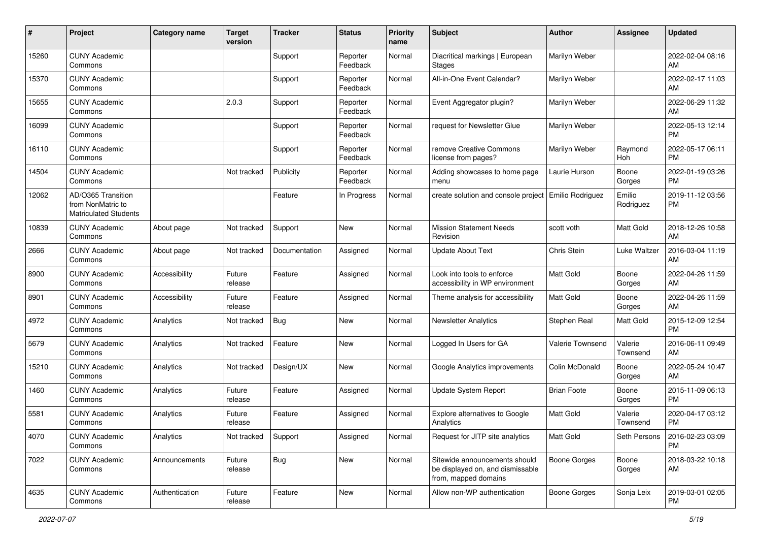| #     | Project                                                                 | <b>Category name</b> | <b>Target</b><br>version | <b>Tracker</b> | <b>Status</b>        | <b>Priority</b><br>name | <b>Subject</b>                                                                            | <b>Author</b>       | <b>Assignee</b>     | <b>Updated</b>                |
|-------|-------------------------------------------------------------------------|----------------------|--------------------------|----------------|----------------------|-------------------------|-------------------------------------------------------------------------------------------|---------------------|---------------------|-------------------------------|
| 15260 | <b>CUNY Academic</b><br>Commons                                         |                      |                          | Support        | Reporter<br>Feedback | Normal                  | Diacritical markings   European<br>Stages                                                 | Marilyn Weber       |                     | 2022-02-04 08:16<br>AM        |
| 15370 | <b>CUNY Academic</b><br>Commons                                         |                      |                          | Support        | Reporter<br>Feedback | Normal                  | All-in-One Event Calendar?                                                                | Marilyn Weber       |                     | 2022-02-17 11:03<br>AM        |
| 15655 | <b>CUNY Academic</b><br>Commons                                         |                      | 2.0.3                    | Support        | Reporter<br>Feedback | Normal                  | Event Aggregator plugin?                                                                  | Marilyn Weber       |                     | 2022-06-29 11:32<br>AM        |
| 16099 | <b>CUNY Academic</b><br>Commons                                         |                      |                          | Support        | Reporter<br>Feedback | Normal                  | request for Newsletter Glue                                                               | Marilyn Weber       |                     | 2022-05-13 12:14<br><b>PM</b> |
| 16110 | <b>CUNY Academic</b><br>Commons                                         |                      |                          | Support        | Reporter<br>Feedback | Normal                  | remove Creative Commons<br>license from pages?                                            | Marilyn Weber       | Raymond<br>Hoh      | 2022-05-17 06:11<br><b>PM</b> |
| 14504 | <b>CUNY Academic</b><br>Commons                                         |                      | Not tracked              | Publicity      | Reporter<br>Feedback | Normal                  | Adding showcases to home page<br>menu                                                     | Laurie Hurson       | Boone<br>Gorges     | 2022-01-19 03:26<br><b>PM</b> |
| 12062 | AD/O365 Transition<br>from NonMatric to<br><b>Matriculated Students</b> |                      |                          | Feature        | In Progress          | Normal                  | create solution and console project                                                       | Emilio Rodriguez    | Emilio<br>Rodriguez | 2019-11-12 03:56<br><b>PM</b> |
| 10839 | <b>CUNY Academic</b><br>Commons                                         | About page           | Not tracked              | Support        | New                  | Normal                  | <b>Mission Statement Needs</b><br>Revision                                                | scott voth          | Matt Gold           | 2018-12-26 10:58<br>AM        |
| 2666  | <b>CUNY Academic</b><br>Commons                                         | About page           | Not tracked              | Documentation  | Assigned             | Normal                  | <b>Update About Text</b>                                                                  | Chris Stein         | Luke Waltzer        | 2016-03-04 11:19<br>AM        |
| 8900  | <b>CUNY Academic</b><br>Commons                                         | Accessibility        | Future<br>release        | Feature        | Assigned             | Normal                  | Look into tools to enforce<br>accessibility in WP environment                             | <b>Matt Gold</b>    | Boone<br>Gorges     | 2022-04-26 11:59<br>AM        |
| 8901  | <b>CUNY Academic</b><br>Commons                                         | Accessibility        | Future<br>release        | Feature        | Assigned             | Normal                  | Theme analysis for accessibility                                                          | <b>Matt Gold</b>    | Boone<br>Gorges     | 2022-04-26 11:59<br>AM        |
| 4972  | <b>CUNY Academic</b><br>Commons                                         | Analytics            | Not tracked              | Bug            | New                  | Normal                  | <b>Newsletter Analytics</b>                                                               | Stephen Real        | Matt Gold           | 2015-12-09 12:54<br><b>PM</b> |
| 5679  | <b>CUNY Academic</b><br>Commons                                         | Analytics            | Not tracked              | Feature        | <b>New</b>           | Normal                  | Logged In Users for GA                                                                    | Valerie Townsend    | Valerie<br>Townsend | 2016-06-11 09:49<br>AM        |
| 15210 | <b>CUNY Academic</b><br>Commons                                         | Analytics            | Not tracked              | Design/UX      | New                  | Normal                  | Google Analytics improvements                                                             | Colin McDonald      | Boone<br>Gorges     | 2022-05-24 10:47<br>AM        |
| 1460  | <b>CUNY Academic</b><br>Commons                                         | Analytics            | Future<br>release        | Feature        | Assigned             | Normal                  | Update System Report                                                                      | <b>Brian Foote</b>  | Boone<br>Gorges     | 2015-11-09 06:13<br><b>PM</b> |
| 5581  | <b>CUNY Academic</b><br>Commons                                         | Analytics            | Future<br>release        | Feature        | Assigned             | Normal                  | Explore alternatives to Google<br>Analytics                                               | Matt Gold           | Valerie<br>Townsend | 2020-04-17 03:12<br><b>PM</b> |
| 4070  | <b>CUNY Academic</b><br>Commons                                         | Analytics            | Not tracked              | Support        | Assigned             | Normal                  | Request for JITP site analytics                                                           | Matt Gold           | Seth Persons        | 2016-02-23 03:09<br>PM        |
| 7022  | <b>CUNY Academic</b><br>Commons                                         | Announcements        | Future<br>release        | Bug            | New                  | Normal                  | Sitewide announcements should<br>be displayed on, and dismissable<br>from, mapped domains | Boone Gorges        | Boone<br>Gorges     | 2018-03-22 10:18<br>AM        |
| 4635  | <b>CUNY Academic</b><br>Commons                                         | Authentication       | Future<br>release        | Feature        | New                  | Normal                  | Allow non-WP authentication                                                               | <b>Boone Gorges</b> | Sonja Leix          | 2019-03-01 02:05<br><b>PM</b> |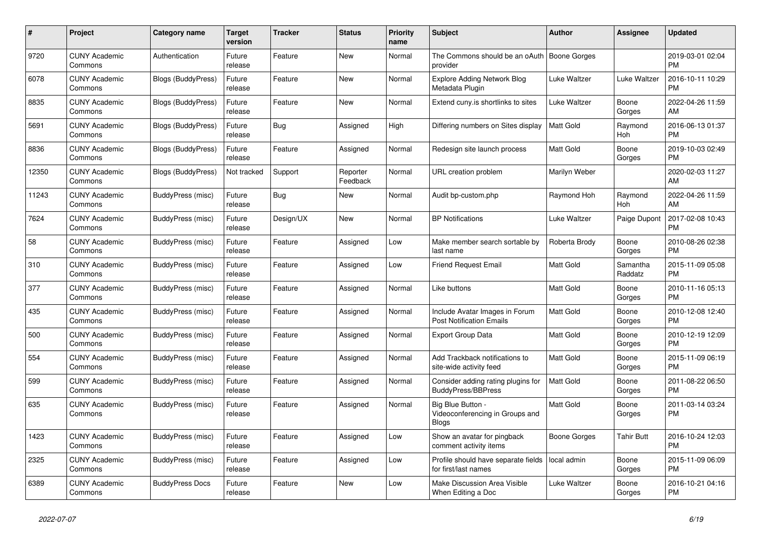| $\#$  | Project                         | <b>Category name</b>      | <b>Target</b><br>version | <b>Tracker</b> | <b>Status</b>        | <b>Priority</b><br>name | <b>Subject</b>                                                     | <b>Author</b>       | Assignee            | <b>Updated</b>                |
|-------|---------------------------------|---------------------------|--------------------------|----------------|----------------------|-------------------------|--------------------------------------------------------------------|---------------------|---------------------|-------------------------------|
| 9720  | <b>CUNY Academic</b><br>Commons | Authentication            | Future<br>release        | Feature        | New                  | Normal                  | The Commons should be an oAuth   Boone Gorges<br>provider          |                     |                     | 2019-03-01 02:04<br><b>PM</b> |
| 6078  | <b>CUNY Academic</b><br>Commons | Blogs (BuddyPress)        | Future<br>release        | Feature        | New                  | Normal                  | <b>Explore Adding Network Blog</b><br>Metadata Plugin              | Luke Waltzer        | Luke Waltzer        | 2016-10-11 10:29<br><b>PM</b> |
| 8835  | <b>CUNY Academic</b><br>Commons | Blogs (BuddyPress)        | Future<br>release        | Feature        | <b>New</b>           | Normal                  | Extend cuny.is shortlinks to sites                                 | Luke Waltzer        | Boone<br>Gorges     | 2022-04-26 11:59<br>AM        |
| 5691  | <b>CUNY Academic</b><br>Commons | <b>Blogs (BuddyPress)</b> | Future<br>release        | <b>Bug</b>     | Assigned             | High                    | Differing numbers on Sites display                                 | <b>Matt Gold</b>    | Raymond<br>Hoh      | 2016-06-13 01:37<br><b>PM</b> |
| 8836  | <b>CUNY Academic</b><br>Commons | <b>Blogs (BuddyPress)</b> | Future<br>release        | Feature        | Assigned             | Normal                  | Redesign site launch process                                       | Matt Gold           | Boone<br>Gorges     | 2019-10-03 02:49<br><b>PM</b> |
| 12350 | <b>CUNY Academic</b><br>Commons | <b>Blogs (BuddyPress)</b> | Not tracked              | Support        | Reporter<br>Feedback | Normal                  | URL creation problem                                               | Marilyn Weber       |                     | 2020-02-03 11:27<br>AM        |
| 11243 | <b>CUNY Academic</b><br>Commons | BuddyPress (misc)         | Future<br>release        | Bug            | New                  | Normal                  | Audit bp-custom.php                                                | Raymond Hoh         | Raymond<br>Hoh      | 2022-04-26 11:59<br>AM        |
| 7624  | <b>CUNY Academic</b><br>Commons | BuddyPress (misc)         | Future<br>release        | Design/UX      | <b>New</b>           | Normal                  | <b>BP</b> Notifications                                            | <b>Luke Waltzer</b> | Paige Dupont        | 2017-02-08 10:43<br><b>PM</b> |
| 58    | <b>CUNY Academic</b><br>Commons | BuddyPress (misc)         | Future<br>release        | Feature        | Assigned             | Low                     | Make member search sortable by<br>last name                        | Roberta Brody       | Boone<br>Gorges     | 2010-08-26 02:38<br><b>PM</b> |
| 310   | <b>CUNY Academic</b><br>Commons | BuddyPress (misc)         | Future<br>release        | Feature        | Assigned             | Low                     | Friend Request Email                                               | <b>Matt Gold</b>    | Samantha<br>Raddatz | 2015-11-09 05:08<br><b>PM</b> |
| 377   | <b>CUNY Academic</b><br>Commons | BuddyPress (misc)         | Future<br>release        | Feature        | Assigned             | Normal                  | Like buttons                                                       | Matt Gold           | Boone<br>Gorges     | 2010-11-16 05:13<br><b>PM</b> |
| 435   | <b>CUNY Academic</b><br>Commons | BuddyPress (misc)         | Future<br>release        | Feature        | Assigned             | Normal                  | Include Avatar Images in Forum<br><b>Post Notification Emails</b>  | Matt Gold           | Boone<br>Gorges     | 2010-12-08 12:40<br><b>PM</b> |
| 500   | <b>CUNY Academic</b><br>Commons | BuddyPress (misc)         | Future<br>release        | Feature        | Assigned             | Normal                  | Export Group Data                                                  | Matt Gold           | Boone<br>Gorges     | 2010-12-19 12:09<br><b>PM</b> |
| 554   | <b>CUNY Academic</b><br>Commons | BuddyPress (misc)         | Future<br>release        | Feature        | Assigned             | Normal                  | Add Trackback notifications to<br>site-wide activity feed          | Matt Gold           | Boone<br>Gorges     | 2015-11-09 06:19<br>PM        |
| 599   | <b>CUNY Academic</b><br>Commons | BuddyPress (misc)         | Future<br>release        | Feature        | Assigned             | Normal                  | Consider adding rating plugins for<br><b>BuddyPress/BBPress</b>    | Matt Gold           | Boone<br>Gorges     | 2011-08-22 06:50<br><b>PM</b> |
| 635   | <b>CUNY Academic</b><br>Commons | BuddyPress (misc)         | Future<br>release        | Feature        | Assigned             | Normal                  | Big Blue Button<br>Videoconferencing in Groups and<br><b>Blogs</b> | <b>Matt Gold</b>    | Boone<br>Gorges     | 2011-03-14 03:24<br>PM        |
| 1423  | <b>CUNY Academic</b><br>Commons | BuddyPress (misc)         | Future<br>release        | Feature        | Assigned             | Low                     | Show an avatar for pingback<br>comment activity items              | Boone Gorges        | Tahir Butt          | 2016-10-24 12:03<br><b>PM</b> |
| 2325  | <b>CUNY Academic</b><br>Commons | BuddyPress (misc)         | Future<br>release        | Feature        | Assigned             | Low                     | Profile should have separate fields<br>for first/last names        | local admin         | Boone<br>Gorges     | 2015-11-09 06:09<br><b>PM</b> |
| 6389  | <b>CUNY Academic</b><br>Commons | <b>BuddyPress Docs</b>    | Future<br>release        | Feature        | <b>New</b>           | Low                     | Make Discussion Area Visible<br>When Editing a Doc                 | <b>Luke Waltzer</b> | Boone<br>Gorges     | 2016-10-21 04:16<br><b>PM</b> |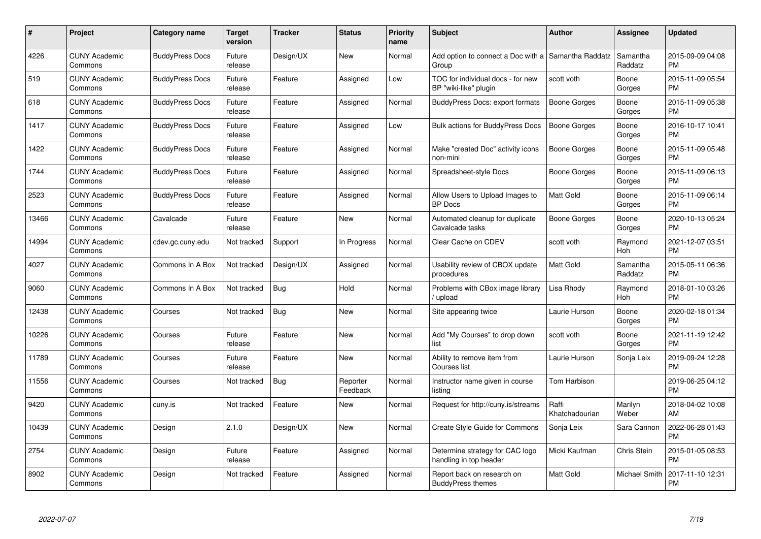| #     | Project                         | Category name          | <b>Target</b><br>version | <b>Tracker</b> | <b>Status</b>        | <b>Priority</b><br>name | <b>Subject</b>                                             | <b>Author</b>           | <b>Assignee</b>      | <b>Updated</b>                |
|-------|---------------------------------|------------------------|--------------------------|----------------|----------------------|-------------------------|------------------------------------------------------------|-------------------------|----------------------|-------------------------------|
| 4226  | <b>CUNY Academic</b><br>Commons | <b>BuddyPress Docs</b> | Future<br>release        | Design/UX      | <b>New</b>           | Normal                  | Add option to connect a Doc with a<br>Group                | Samantha Raddatz        | Samantha<br>Raddatz  | 2015-09-09 04:08<br><b>PM</b> |
| 519   | <b>CUNY Academic</b><br>Commons | <b>BuddyPress Docs</b> | Future<br>release        | Feature        | Assigned             | Low                     | TOC for individual docs - for new<br>BP "wiki-like" plugin | scott voth              | Boone<br>Gorges      | 2015-11-09 05:54<br><b>PM</b> |
| 618   | <b>CUNY Academic</b><br>Commons | <b>BuddyPress Docs</b> | Future<br>release        | Feature        | Assigned             | Normal                  | BuddyPress Docs: export formats                            | <b>Boone Gorges</b>     | Boone<br>Gorges      | 2015-11-09 05:38<br><b>PM</b> |
| 1417  | <b>CUNY Academic</b><br>Commons | <b>BuddyPress Docs</b> | Future<br>release        | Feature        | Assigned             | Low                     | Bulk actions for BuddyPress Docs                           | <b>Boone Gorges</b>     | Boone<br>Gorges      | 2016-10-17 10:41<br><b>PM</b> |
| 1422  | <b>CUNY Academic</b><br>Commons | <b>BuddyPress Docs</b> | Future<br>release        | Feature        | Assigned             | Normal                  | Make "created Doc" activity icons<br>non-mini              | Boone Gorges            | Boone<br>Gorges      | 2015-11-09 05:48<br><b>PM</b> |
| 1744  | <b>CUNY Academic</b><br>Commons | <b>BuddyPress Docs</b> | Future<br>release        | Feature        | Assigned             | Normal                  | Spreadsheet-style Docs                                     | Boone Gorges            | Boone<br>Gorges      | 2015-11-09 06:13<br><b>PM</b> |
| 2523  | <b>CUNY Academic</b><br>Commons | <b>BuddyPress Docs</b> | Future<br>release        | Feature        | Assigned             | Normal                  | Allow Users to Upload Images to<br><b>BP</b> Docs          | Matt Gold               | Boone<br>Gorges      | 2015-11-09 06:14<br><b>PM</b> |
| 13466 | <b>CUNY Academic</b><br>Commons | Cavalcade              | Future<br>release        | Feature        | New                  | Normal                  | Automated cleanup for duplicate<br>Cavalcade tasks         | Boone Gorges            | Boone<br>Gorges      | 2020-10-13 05:24<br><b>PM</b> |
| 14994 | <b>CUNY Academic</b><br>Commons | cdev.gc.cuny.edu       | Not tracked              | Support        | In Progress          | Normal                  | Clear Cache on CDEV                                        | scott voth              | Raymond<br>Hoh       | 2021-12-07 03:51<br><b>PM</b> |
| 4027  | <b>CUNY Academic</b><br>Commons | Commons In A Box       | Not tracked              | Design/UX      | Assigned             | Normal                  | Usability review of CBOX update<br>procedures              | <b>Matt Gold</b>        | Samantha<br>Raddatz  | 2015-05-11 06:36<br>PM        |
| 9060  | <b>CUNY Academic</b><br>Commons | Commons In A Box       | Not tracked              | Bug            | Hold                 | Normal                  | Problems with CBox image library<br>upload                 | Lisa Rhody              | Raymond<br>Hoh       | 2018-01-10 03:26<br><b>PM</b> |
| 12438 | <b>CUNY Academic</b><br>Commons | Courses                | Not tracked              | <b>Bug</b>     | New                  | Normal                  | Site appearing twice                                       | Laurie Hurson           | Boone<br>Gorges      | 2020-02-18 01:34<br><b>PM</b> |
| 10226 | <b>CUNY Academic</b><br>Commons | Courses                | Future<br>release        | Feature        | New                  | Normal                  | Add "My Courses" to drop down<br>list                      | scott voth              | Boone<br>Gorges      | 2021-11-19 12:42<br><b>PM</b> |
| 11789 | <b>CUNY Academic</b><br>Commons | Courses                | Future<br>release        | Feature        | New                  | Normal                  | Ability to remove item from<br>Courses list                | Laurie Hurson           | Sonja Leix           | 2019-09-24 12:28<br><b>PM</b> |
| 11556 | <b>CUNY Academic</b><br>Commons | Courses                | Not tracked              | <b>Bug</b>     | Reporter<br>Feedback | Normal                  | Instructor name given in course<br>listing                 | Tom Harbison            |                      | 2019-06-25 04:12<br><b>PM</b> |
| 9420  | <b>CUNY Academic</b><br>Commons | cuny.is                | Not tracked              | Feature        | New                  | Normal                  | Request for http://cuny.is/streams                         | Raffi<br>Khatchadourian | Marilyn<br>Weber     | 2018-04-02 10:08<br>AM        |
| 10439 | <b>CUNY Academic</b><br>Commons | Design                 | 2.1.0                    | Design/UX      | New                  | Normal                  | Create Style Guide for Commons                             | Sonja Leix              | Sara Cannon          | 2022-06-28 01:43<br><b>PM</b> |
| 2754  | <b>CUNY Academic</b><br>Commons | Design                 | Future<br>release        | Feature        | Assigned             | Normal                  | Determine strategy for CAC logo<br>handling in top header  | Micki Kaufman           | Chris Stein          | 2015-01-05 08:53<br><b>PM</b> |
| 8902  | <b>CUNY Academic</b><br>Commons | Design                 | Not tracked              | Feature        | Assigned             | Normal                  | Report back on research on<br><b>BuddyPress themes</b>     | Matt Gold               | <b>Michael Smith</b> | 2017-11-10 12:31<br><b>PM</b> |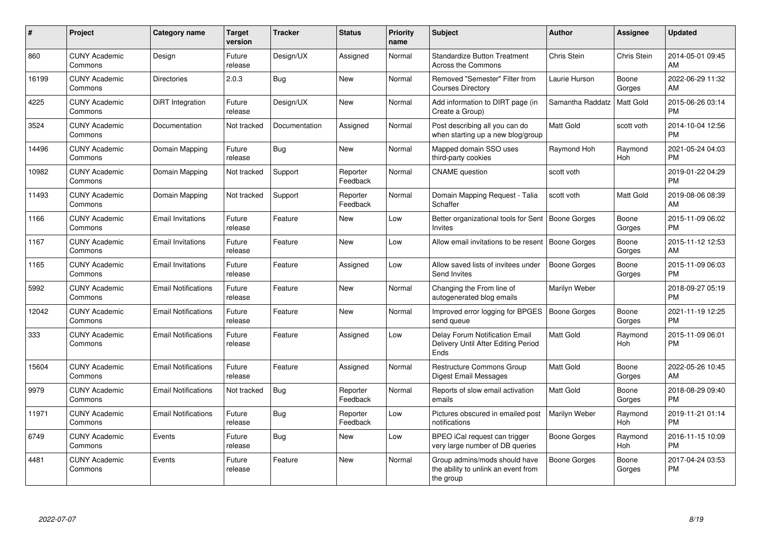| #     | Project                         | <b>Category name</b>       | <b>Target</b><br>version | <b>Tracker</b> | <b>Status</b>        | <b>Priority</b><br>name | <b>Subject</b>                                                                    | <b>Author</b>       | <b>Assignee</b> | <b>Updated</b>                |
|-------|---------------------------------|----------------------------|--------------------------|----------------|----------------------|-------------------------|-----------------------------------------------------------------------------------|---------------------|-----------------|-------------------------------|
| 860   | <b>CUNY Academic</b><br>Commons | Design                     | Future<br>release        | Design/UX      | Assigned             | Normal                  | <b>Standardize Button Treatment</b><br>Across the Commons                         | Chris Stein         | Chris Stein     | 2014-05-01 09:45<br>AM        |
| 16199 | <b>CUNY Academic</b><br>Commons | <b>Directories</b>         | 2.0.3                    | Bug            | New                  | Normal                  | Removed "Semester" Filter from<br><b>Courses Directory</b>                        | Laurie Hurson       | Boone<br>Gorges | 2022-06-29 11:32<br>AM        |
| 4225  | <b>CUNY Academic</b><br>Commons | DiRT Integration           | Future<br>release        | Design/UX      | New                  | Normal                  | Add information to DIRT page (in<br>Create a Group)                               | Samantha Raddatz    | Matt Gold       | 2015-06-26 03:14<br><b>PM</b> |
| 3524  | <b>CUNY Academic</b><br>Commons | Documentation              | Not tracked              | Documentation  | Assigned             | Normal                  | Post describing all you can do<br>when starting up a new blog/group               | Matt Gold           | scott voth      | 2014-10-04 12:56<br><b>PM</b> |
| 14496 | <b>CUNY Academic</b><br>Commons | Domain Mapping             | Future<br>release        | <b>Bug</b>     | <b>New</b>           | Normal                  | Mapped domain SSO uses<br>third-party cookies                                     | Raymond Hoh         | Raymond<br>Hoh  | 2021-05-24 04:03<br><b>PM</b> |
| 10982 | <b>CUNY Academic</b><br>Commons | Domain Mapping             | Not tracked              | Support        | Reporter<br>Feedback | Normal                  | <b>CNAME</b> question                                                             | scott voth          |                 | 2019-01-22 04:29<br><b>PM</b> |
| 11493 | <b>CUNY Academic</b><br>Commons | Domain Mapping             | Not tracked              | Support        | Reporter<br>Feedback | Normal                  | Domain Mapping Request - Talia<br>Schaffer                                        | scott voth          | Matt Gold       | 2019-08-06 08:39<br>AM        |
| 1166  | <b>CUNY Academic</b><br>Commons | <b>Email Invitations</b>   | Future<br>release        | Feature        | New                  | Low                     | Better organizational tools for Sent   Boone Gorges<br>Invites                    |                     | Boone<br>Gorges | 2015-11-09 06:02<br><b>PM</b> |
| 1167  | <b>CUNY Academic</b><br>Commons | <b>Email Invitations</b>   | Future<br>release        | Feature        | New                  | Low                     | Allow email invitations to be resent                                              | Boone Gorges        | Boone<br>Gorges | 2015-11-12 12:53<br>AM        |
| 1165  | <b>CUNY Academic</b><br>Commons | <b>Email Invitations</b>   | Future<br>release        | Feature        | Assigned             | Low                     | Allow saved lists of invitees under<br>Send Invites                               | <b>Boone Gorges</b> | Boone<br>Gorges | 2015-11-09 06:03<br><b>PM</b> |
| 5992  | <b>CUNY Academic</b><br>Commons | <b>Email Notifications</b> | Future<br>release        | Feature        | <b>New</b>           | Normal                  | Changing the From line of<br>autogenerated blog emails                            | Marilyn Weber       |                 | 2018-09-27 05:19<br><b>PM</b> |
| 12042 | <b>CUNY Academic</b><br>Commons | <b>Email Notifications</b> | Future<br>release        | Feature        | <b>New</b>           | Normal                  | Improved error logging for BPGES<br>send queue                                    | <b>Boone Gorges</b> | Boone<br>Gorges | 2021-11-19 12:25<br><b>PM</b> |
| 333   | <b>CUNY Academic</b><br>Commons | <b>Email Notifications</b> | Future<br>release        | Feature        | Assigned             | Low                     | Delay Forum Notification Email<br>Delivery Until After Editing Period<br>Ends     | <b>Matt Gold</b>    | Raymond<br>Hoh  | 2015-11-09 06:01<br><b>PM</b> |
| 15604 | <b>CUNY Academic</b><br>Commons | <b>Email Notifications</b> | Future<br>release        | Feature        | Assigned             | Normal                  | <b>Restructure Commons Group</b><br>Digest Email Messages                         | <b>Matt Gold</b>    | Boone<br>Gorges | 2022-05-26 10:45<br>AM        |
| 9979  | <b>CUNY Academic</b><br>Commons | <b>Email Notifications</b> | Not tracked              | <b>Bug</b>     | Reporter<br>Feedback | Normal                  | Reports of slow email activation<br>emails                                        | Matt Gold           | Boone<br>Gorges | 2018-08-29 09:40<br><b>PM</b> |
| 11971 | <b>CUNY Academic</b><br>Commons | <b>Email Notifications</b> | Future<br>release        | <b>Bug</b>     | Reporter<br>Feedback | Low                     | Pictures obscured in emailed post<br>notifications                                | Marilyn Weber       | Raymond<br>Hoh  | 2019-11-21 01:14<br><b>PM</b> |
| 6749  | <b>CUNY Academic</b><br>Commons | Events                     | Future<br>release        | <b>Bug</b>     | <b>New</b>           | Low                     | BPEO iCal request can trigger<br>very large number of DB queries                  | Boone Gorges        | Raymond<br>Hoh  | 2016-11-15 10:09<br><b>PM</b> |
| 4481  | <b>CUNY Academic</b><br>Commons | Events                     | Future<br>release        | Feature        | <b>New</b>           | Normal                  | Group admins/mods should have<br>the ability to unlink an event from<br>the group | <b>Boone Gorges</b> | Boone<br>Gorges | 2017-04-24 03:53<br><b>PM</b> |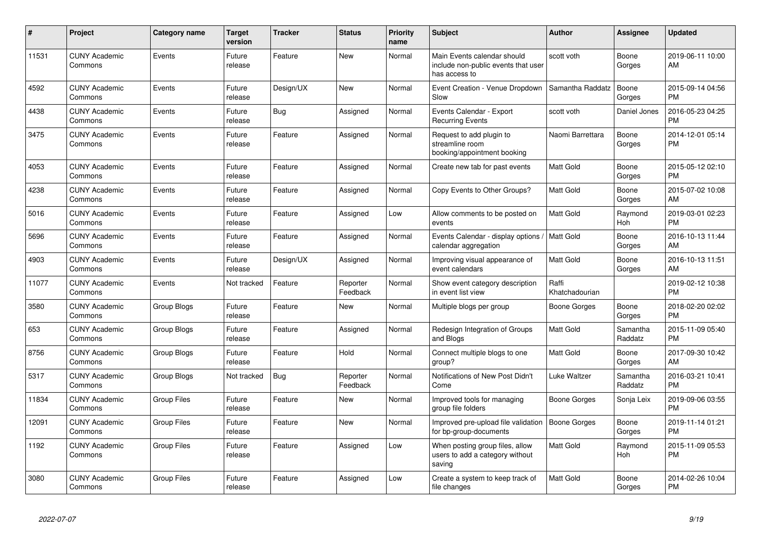| #     | <b>Project</b>                  | Category name      | <b>Target</b><br>version | <b>Tracker</b> | <b>Status</b>        | <b>Priority</b><br>name | <b>Subject</b>                                                                      | <b>Author</b>           | <b>Assignee</b>     | <b>Updated</b>                |
|-------|---------------------------------|--------------------|--------------------------|----------------|----------------------|-------------------------|-------------------------------------------------------------------------------------|-------------------------|---------------------|-------------------------------|
| 11531 | <b>CUNY Academic</b><br>Commons | Events             | Future<br>release        | Feature        | <b>New</b>           | Normal                  | Main Events calendar should<br>include non-public events that user<br>has access to | scott voth              | Boone<br>Gorges     | 2019-06-11 10:00<br>AM        |
| 4592  | <b>CUNY Academic</b><br>Commons | Events             | Future<br>release        | Design/UX      | New                  | Normal                  | Event Creation - Venue Dropdown<br>Slow                                             | Samantha Raddatz        | Boone<br>Gorges     | 2015-09-14 04:56<br><b>PM</b> |
| 4438  | <b>CUNY Academic</b><br>Commons | Events             | Future<br>release        | Bug            | Assigned             | Normal                  | Events Calendar - Export<br><b>Recurring Events</b>                                 | scott voth              | Daniel Jones        | 2016-05-23 04:25<br>PM        |
| 3475  | <b>CUNY Academic</b><br>Commons | Events             | Future<br>release        | Feature        | Assigned             | Normal                  | Request to add plugin to<br>streamline room<br>booking/appointment booking          | Naomi Barrettara        | Boone<br>Gorges     | 2014-12-01 05:14<br><b>PM</b> |
| 4053  | <b>CUNY Academic</b><br>Commons | Events             | Future<br>release        | Feature        | Assigned             | Normal                  | Create new tab for past events                                                      | Matt Gold               | Boone<br>Gorges     | 2015-05-12 02:10<br><b>PM</b> |
| 4238  | <b>CUNY Academic</b><br>Commons | Events             | Future<br>release        | Feature        | Assigned             | Normal                  | Copy Events to Other Groups?                                                        | Matt Gold               | Boone<br>Gorges     | 2015-07-02 10:08<br>AM        |
| 5016  | <b>CUNY Academic</b><br>Commons | Events             | Future<br>release        | Feature        | Assigned             | Low                     | Allow comments to be posted on<br>events                                            | <b>Matt Gold</b>        | Raymond<br>Hoh      | 2019-03-01 02:23<br><b>PM</b> |
| 5696  | <b>CUNY Academic</b><br>Commons | Events             | Future<br>release        | Feature        | Assigned             | Normal                  | Events Calendar - display options<br>calendar aggregation                           | Matt Gold               | Boone<br>Gorges     | 2016-10-13 11:44<br>AM        |
| 4903  | <b>CUNY Academic</b><br>Commons | Events             | Future<br>release        | Design/UX      | Assigned             | Normal                  | Improving visual appearance of<br>event calendars                                   | <b>Matt Gold</b>        | Boone<br>Gorges     | 2016-10-13 11:51<br>AM        |
| 11077 | <b>CUNY Academic</b><br>Commons | Events             | Not tracked              | Feature        | Reporter<br>Feedback | Normal                  | Show event category description<br>in event list view                               | Raffi<br>Khatchadourian |                     | 2019-02-12 10:38<br><b>PM</b> |
| 3580  | <b>CUNY Academic</b><br>Commons | Group Blogs        | Future<br>release        | Feature        | <b>New</b>           | Normal                  | Multiple blogs per group                                                            | Boone Gorges            | Boone<br>Gorges     | 2018-02-20 02:02<br><b>PM</b> |
| 653   | <b>CUNY Academic</b><br>Commons | <b>Group Blogs</b> | Future<br>release        | Feature        | Assigned             | Normal                  | Redesign Integration of Groups<br>and Blogs                                         | <b>Matt Gold</b>        | Samantha<br>Raddatz | 2015-11-09 05:40<br><b>PM</b> |
| 8756  | <b>CUNY Academic</b><br>Commons | Group Blogs        | Future<br>release        | Feature        | Hold                 | Normal                  | Connect multiple blogs to one<br>group?                                             | Matt Gold               | Boone<br>Gorges     | 2017-09-30 10:42<br>AM        |
| 5317  | <b>CUNY Academic</b><br>Commons | Group Blogs        | Not tracked              | <b>Bug</b>     | Reporter<br>Feedback | Normal                  | Notifications of New Post Didn't<br>Come                                            | Luke Waltzer            | Samantha<br>Raddatz | 2016-03-21 10:41<br><b>PM</b> |
| 11834 | <b>CUNY Academic</b><br>Commons | <b>Group Files</b> | Future<br>release        | Feature        | <b>New</b>           | Normal                  | Improved tools for managing<br>group file folders                                   | Boone Gorges            | Sonja Leix          | 2019-09-06 03:55<br><b>PM</b> |
| 12091 | <b>CUNY Academic</b><br>Commons | <b>Group Files</b> | Future<br>release        | Feature        | <b>New</b>           | Normal                  | Improved pre-upload file validation<br>for bp-group-documents                       | <b>Boone Gorges</b>     | Boone<br>Gorges     | 2019-11-14 01:21<br><b>PM</b> |
| 1192  | <b>CUNY Academic</b><br>Commons | <b>Group Files</b> | Future<br>release        | Feature        | Assigned             | Low                     | When posting group files, allow<br>users to add a category without<br>saving        | <b>Matt Gold</b>        | Raymond<br>Hoh      | 2015-11-09 05:53<br><b>PM</b> |
| 3080  | <b>CUNY Academic</b><br>Commons | Group Files        | Future<br>release        | Feature        | Assigned             | Low                     | Create a system to keep track of<br>file changes                                    | <b>Matt Gold</b>        | Boone<br>Gorges     | 2014-02-26 10:04<br><b>PM</b> |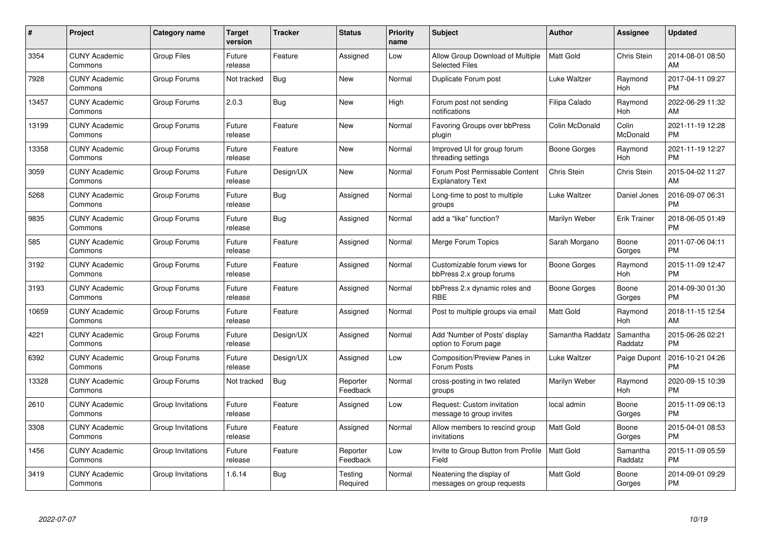| $\#$  | Project                         | <b>Category name</b> | <b>Target</b><br>version | <b>Tracker</b> | <b>Status</b>        | <b>Priority</b><br>name | <b>Subject</b>                                            | <b>Author</b>    | <b>Assignee</b>     | <b>Updated</b>                |
|-------|---------------------------------|----------------------|--------------------------|----------------|----------------------|-------------------------|-----------------------------------------------------------|------------------|---------------------|-------------------------------|
| 3354  | <b>CUNY Academic</b><br>Commons | <b>Group Files</b>   | Future<br>release        | Feature        | Assigned             | Low                     | Allow Group Download of Multiple<br><b>Selected Files</b> | <b>Matt Gold</b> | <b>Chris Stein</b>  | 2014-08-01 08:50<br>AM        |
| 7928  | <b>CUNY Academic</b><br>Commons | Group Forums         | Not tracked              | Bug            | <b>New</b>           | Normal                  | Duplicate Forum post                                      | Luke Waltzer     | Raymond<br>Hoh      | 2017-04-11 09:27<br><b>PM</b> |
| 13457 | <b>CUNY Academic</b><br>Commons | Group Forums         | 2.0.3                    | <b>Bug</b>     | <b>New</b>           | High                    | Forum post not sending<br>notifications                   | Filipa Calado    | Raymond<br>Hoh      | 2022-06-29 11:32<br>AM        |
| 13199 | <b>CUNY Academic</b><br>Commons | Group Forums         | Future<br>release        | Feature        | <b>New</b>           | Normal                  | <b>Favoring Groups over bbPress</b><br>plugin             | Colin McDonald   | Colin<br>McDonald   | 2021-11-19 12:28<br><b>PM</b> |
| 13358 | <b>CUNY Academic</b><br>Commons | Group Forums         | Future<br>release        | Feature        | <b>New</b>           | Normal                  | Improved UI for group forum<br>threading settings         | Boone Gorges     | Raymond<br>Hoh      | 2021-11-19 12:27<br><b>PM</b> |
| 3059  | <b>CUNY Academic</b><br>Commons | Group Forums         | Future<br>release        | Design/UX      | <b>New</b>           | Normal                  | Forum Post Permissable Content<br><b>Explanatory Text</b> | Chris Stein      | Chris Stein         | 2015-04-02 11:27<br>AM        |
| 5268  | <b>CUNY Academic</b><br>Commons | Group Forums         | Future<br>release        | <b>Bug</b>     | Assigned             | Normal                  | Long-time to post to multiple<br>groups                   | Luke Waltzer     | Daniel Jones        | 2016-09-07 06:31<br><b>PM</b> |
| 9835  | <b>CUNY Academic</b><br>Commons | Group Forums         | Future<br>release        | <b>Bug</b>     | Assigned             | Normal                  | add a "like" function?                                    | Marilyn Weber    | <b>Erik Trainer</b> | 2018-06-05 01:49<br><b>PM</b> |
| 585   | <b>CUNY Academic</b><br>Commons | Group Forums         | Future<br>release        | Feature        | Assigned             | Normal                  | Merge Forum Topics                                        | Sarah Morgano    | Boone<br>Gorges     | 2011-07-06 04:11<br><b>PM</b> |
| 3192  | <b>CUNY Academic</b><br>Commons | Group Forums         | Future<br>release        | Feature        | Assigned             | Normal                  | Customizable forum views for<br>bbPress 2.x group forums  | Boone Gorges     | Raymond<br>Hoh      | 2015-11-09 12:47<br><b>PM</b> |
| 3193  | <b>CUNY Academic</b><br>Commons | Group Forums         | Future<br>release        | Feature        | Assigned             | Normal                  | bbPress 2.x dynamic roles and<br><b>RBE</b>               | Boone Gorges     | Boone<br>Gorges     | 2014-09-30 01:30<br><b>PM</b> |
| 10659 | <b>CUNY Academic</b><br>Commons | Group Forums         | Future<br>release        | Feature        | Assigned             | Normal                  | Post to multiple groups via email                         | <b>Matt Gold</b> | Raymond<br>Hoh      | 2018-11-15 12:54<br>AM        |
| 4221  | <b>CUNY Academic</b><br>Commons | Group Forums         | Future<br>release        | Design/UX      | Assigned             | Normal                  | Add 'Number of Posts' display<br>option to Forum page     | Samantha Raddatz | Samantha<br>Raddatz | 2015-06-26 02:21<br><b>PM</b> |
| 6392  | <b>CUNY Academic</b><br>Commons | Group Forums         | Future<br>release        | Design/UX      | Assigned             | Low                     | Composition/Preview Panes in<br>Forum Posts               | Luke Waltzer     | Paige Dupont        | 2016-10-21 04:26<br><b>PM</b> |
| 13328 | <b>CUNY Academic</b><br>Commons | Group Forums         | Not tracked              | <b>Bug</b>     | Reporter<br>Feedback | Normal                  | cross-posting in two related<br>groups                    | Marilyn Weber    | Raymond<br>Hoh      | 2020-09-15 10:39<br><b>PM</b> |
| 2610  | <b>CUNY Academic</b><br>Commons | Group Invitations    | Future<br>release        | Feature        | Assigned             | Low                     | Request: Custom invitation<br>message to group invites    | local admin      | Boone<br>Gorges     | 2015-11-09 06:13<br><b>PM</b> |
| 3308  | <b>CUNY Academic</b><br>Commons | Group Invitations    | Future<br>release        | Feature        | Assigned             | Normal                  | Allow members to rescind group<br>invitations             | <b>Matt Gold</b> | Boone<br>Gorges     | 2015-04-01 08:53<br><b>PM</b> |
| 1456  | <b>CUNY Academic</b><br>Commons | Group Invitations    | Future<br>release        | Feature        | Reporter<br>Feedback | Low                     | Invite to Group Button from Profile<br>Field              | <b>Matt Gold</b> | Samantha<br>Raddatz | 2015-11-09 05:59<br><b>PM</b> |
| 3419  | CUNY Academic<br>Commons        | Group Invitations    | 1.6.14                   | Bug            | Testing<br>Required  | Normal                  | Neatening the display of<br>messages on group requests    | <b>Matt Gold</b> | Boone<br>Gorges     | 2014-09-01 09:29<br>PM        |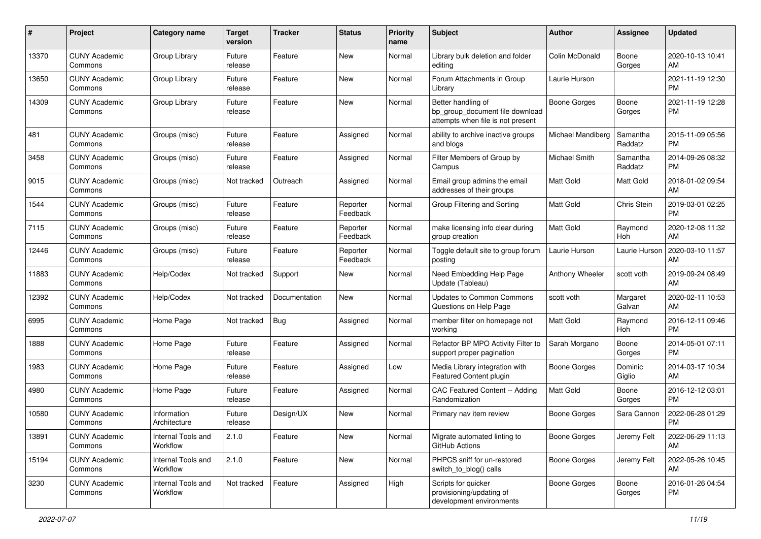| #     | Project                         | <b>Category name</b>           | <b>Target</b><br>version | <b>Tracker</b> | <b>Status</b>        | <b>Priority</b><br>name | <b>Subject</b>                                                                             | Author              | <b>Assignee</b>     | <b>Updated</b>                |
|-------|---------------------------------|--------------------------------|--------------------------|----------------|----------------------|-------------------------|--------------------------------------------------------------------------------------------|---------------------|---------------------|-------------------------------|
| 13370 | <b>CUNY Academic</b><br>Commons | Group Library                  | Future<br>release        | Feature        | <b>New</b>           | Normal                  | Library bulk deletion and folder<br>editing                                                | Colin McDonald      | Boone<br>Gorges     | 2020-10-13 10:41<br>AM        |
| 13650 | <b>CUNY Academic</b><br>Commons | Group Library                  | Future<br>release        | Feature        | New                  | Normal                  | Forum Attachments in Group<br>Library                                                      | Laurie Hurson       |                     | 2021-11-19 12:30<br><b>PM</b> |
| 14309 | <b>CUNY Academic</b><br>Commons | Group Library                  | Future<br>release        | Feature        | New                  | Normal                  | Better handling of<br>bp group document file download<br>attempts when file is not present | <b>Boone Gorges</b> | Boone<br>Gorges     | 2021-11-19 12:28<br><b>PM</b> |
| 481   | <b>CUNY Academic</b><br>Commons | Groups (misc)                  | Future<br>release        | Feature        | Assigned             | Normal                  | ability to archive inactive groups<br>and blogs                                            | Michael Mandiberg   | Samantha<br>Raddatz | 2015-11-09 05:56<br><b>PM</b> |
| 3458  | <b>CUNY Academic</b><br>Commons | Groups (misc)                  | Future<br>release        | Feature        | Assigned             | Normal                  | Filter Members of Group by<br>Campus                                                       | Michael Smith       | Samantha<br>Raddatz | 2014-09-26 08:32<br><b>PM</b> |
| 9015  | <b>CUNY Academic</b><br>Commons | Groups (misc)                  | Not tracked              | Outreach       | Assigned             | Normal                  | Email group admins the email<br>addresses of their groups                                  | <b>Matt Gold</b>    | Matt Gold           | 2018-01-02 09:54<br>AM        |
| 1544  | <b>CUNY Academic</b><br>Commons | Groups (misc)                  | Future<br>release        | Feature        | Reporter<br>Feedback | Normal                  | Group Filtering and Sorting                                                                | <b>Matt Gold</b>    | Chris Stein         | 2019-03-01 02:25<br><b>PM</b> |
| 7115  | <b>CUNY Academic</b><br>Commons | Groups (misc)                  | Future<br>release        | Feature        | Reporter<br>Feedback | Normal                  | make licensing info clear during<br>group creation                                         | <b>Matt Gold</b>    | Raymond<br>Hoh      | 2020-12-08 11:32<br>AM        |
| 12446 | <b>CUNY Academic</b><br>Commons | Groups (misc)                  | Future<br>release        | Feature        | Reporter<br>Feedback | Normal                  | Toggle default site to group forum<br>posting                                              | Laurie Hurson       | Laurie Hurson       | 2020-03-10 11:57<br>AM        |
| 11883 | <b>CUNY Academic</b><br>Commons | Help/Codex                     | Not tracked              | Support        | New                  | Normal                  | Need Embedding Help Page<br>Update (Tableau)                                               | Anthony Wheeler     | scott voth          | 2019-09-24 08:49<br>AM        |
| 12392 | <b>CUNY Academic</b><br>Commons | Help/Codex                     | Not tracked              | Documentation  | New                  | Normal                  | Updates to Common Commons<br>Questions on Help Page                                        | scott voth          | Margaret<br>Galvan  | 2020-02-11 10:53<br>AM        |
| 6995  | <b>CUNY Academic</b><br>Commons | Home Page                      | Not tracked              | <b>Bug</b>     | Assigned             | Normal                  | member filter on homepage not<br>working                                                   | Matt Gold           | Raymond<br>Hoh      | 2016-12-11 09:46<br><b>PM</b> |
| 1888  | <b>CUNY Academic</b><br>Commons | Home Page                      | Future<br>release        | Feature        | Assigned             | Normal                  | Refactor BP MPO Activity Filter to<br>support proper pagination                            | Sarah Morgano       | Boone<br>Gorges     | 2014-05-01 07:11<br><b>PM</b> |
| 1983  | <b>CUNY Academic</b><br>Commons | Home Page                      | Future<br>release        | Feature        | Assigned             | Low                     | Media Library integration with<br>Featured Content plugin                                  | <b>Boone Gorges</b> | Dominic<br>Giglio   | 2014-03-17 10:34<br>AM        |
| 4980  | <b>CUNY Academic</b><br>Commons | Home Page                      | Future<br>release        | Feature        | Assigned             | Normal                  | CAC Featured Content -- Adding<br>Randomization                                            | <b>Matt Gold</b>    | Boone<br>Gorges     | 2016-12-12 03:01<br><b>PM</b> |
| 10580 | <b>CUNY Academic</b><br>Commons | Information<br>Architecture    | Future<br>release        | Design/UX      | New                  | Normal                  | Primary nav item review                                                                    | <b>Boone Gorges</b> | Sara Cannon         | 2022-06-28 01:29<br><b>PM</b> |
| 13891 | <b>CUNY Academic</b><br>Commons | Internal Tools and<br>Workflow | 2.1.0                    | Feature        | New                  | Normal                  | Migrate automated linting to<br>GitHub Actions                                             | Boone Gorges        | Jeremy Felt         | 2022-06-29 11:13<br>AM        |
| 15194 | <b>CUNY Academic</b><br>Commons | Internal Tools and<br>Workflow | 2.1.0                    | Feature        | New                  | Normal                  | PHPCS sniff for un-restored<br>switch_to_blog() calls                                      | Boone Gorges        | Jeremy Felt         | 2022-05-26 10:45<br>AM        |
| 3230  | <b>CUNY Academic</b><br>Commons | Internal Tools and<br>Workflow | Not tracked              | Feature        | Assigned             | High                    | Scripts for quicker<br>provisioning/updating of<br>development environments                | Boone Gorges        | Boone<br>Gorges     | 2016-01-26 04:54<br><b>PM</b> |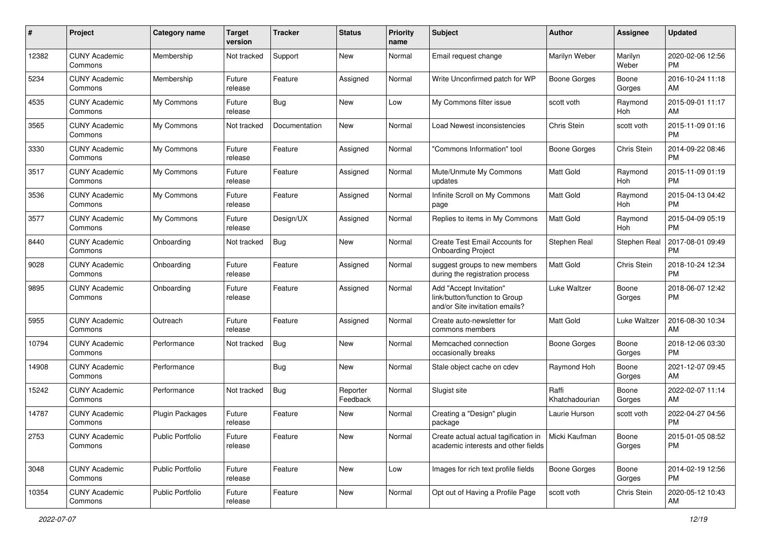| #     | Project                         | <b>Category name</b>    | <b>Target</b><br>version | <b>Tracker</b> | <b>Status</b>        | <b>Priority</b><br>name | <b>Subject</b>                                                                             | <b>Author</b>           | <b>Assignee</b>  | <b>Updated</b>                |
|-------|---------------------------------|-------------------------|--------------------------|----------------|----------------------|-------------------------|--------------------------------------------------------------------------------------------|-------------------------|------------------|-------------------------------|
| 12382 | <b>CUNY Academic</b><br>Commons | Membership              | Not tracked              | Support        | New                  | Normal                  | Email request change                                                                       | Marilyn Weber           | Marilyn<br>Weber | 2020-02-06 12:56<br><b>PM</b> |
| 5234  | <b>CUNY Academic</b><br>Commons | Membership              | Future<br>release        | Feature        | Assigned             | Normal                  | Write Unconfirmed patch for WP                                                             | <b>Boone Gorges</b>     | Boone<br>Gorges  | 2016-10-24 11:18<br>AM        |
| 4535  | <b>CUNY Academic</b><br>Commons | My Commons              | Future<br>release        | <b>Bug</b>     | New                  | Low                     | My Commons filter issue                                                                    | scott voth              | Raymond<br>Hoh   | 2015-09-01 11:17<br>AM        |
| 3565  | <b>CUNY Academic</b><br>Commons | My Commons              | Not tracked              | Documentation  | New                  | Normal                  | Load Newest inconsistencies                                                                | Chris Stein             | scott voth       | 2015-11-09 01:16<br><b>PM</b> |
| 3330  | <b>CUNY Academic</b><br>Commons | My Commons              | Future<br>release        | Feature        | Assigned             | Normal                  | 'Commons Information" tool                                                                 | Boone Gorges            | Chris Stein      | 2014-09-22 08:46<br><b>PM</b> |
| 3517  | <b>CUNY Academic</b><br>Commons | My Commons              | Future<br>release        | Feature        | Assigned             | Normal                  | Mute/Unmute My Commons<br>updates                                                          | <b>Matt Gold</b>        | Raymond<br>Hoh   | 2015-11-09 01:19<br><b>PM</b> |
| 3536  | <b>CUNY Academic</b><br>Commons | My Commons              | Future<br>release        | Feature        | Assigned             | Normal                  | Infinite Scroll on My Commons<br>page                                                      | Matt Gold               | Raymond<br>Hoh   | 2015-04-13 04:42<br><b>PM</b> |
| 3577  | <b>CUNY Academic</b><br>Commons | My Commons              | Future<br>release        | Design/UX      | Assigned             | Normal                  | Replies to items in My Commons                                                             | <b>Matt Gold</b>        | Raymond<br>Hoh   | 2015-04-09 05:19<br><b>PM</b> |
| 8440  | <b>CUNY Academic</b><br>Commons | Onboarding              | Not tracked              | <b>Bug</b>     | New                  | Normal                  | Create Test Email Accounts for<br><b>Onboarding Project</b>                                | Stephen Real            | Stephen Real     | 2017-08-01 09:49<br><b>PM</b> |
| 9028  | <b>CUNY Academic</b><br>Commons | Onboarding              | Future<br>release        | Feature        | Assigned             | Normal                  | suggest groups to new members<br>during the registration process                           | Matt Gold               | Chris Stein      | 2018-10-24 12:34<br><b>PM</b> |
| 9895  | <b>CUNY Academic</b><br>Commons | Onboarding              | Future<br>release        | Feature        | Assigned             | Normal                  | Add "Accept Invitation"<br>link/button/function to Group<br>and/or Site invitation emails? | Luke Waltzer            | Boone<br>Gorges  | 2018-06-07 12:42<br>PM        |
| 5955  | <b>CUNY Academic</b><br>Commons | Outreach                | Future<br>release        | Feature        | Assigned             | Normal                  | Create auto-newsletter for<br>commons members                                              | <b>Matt Gold</b>        | Luke Waltzer     | 2016-08-30 10:34<br>AM        |
| 10794 | <b>CUNY Academic</b><br>Commons | Performance             | Not tracked              | <b>Bug</b>     | New                  | Normal                  | Memcached connection<br>occasionally breaks                                                | <b>Boone Gorges</b>     | Boone<br>Gorges  | 2018-12-06 03:30<br><b>PM</b> |
| 14908 | <b>CUNY Academic</b><br>Commons | Performance             |                          | <b>Bug</b>     | New                  | Normal                  | Stale object cache on cdev                                                                 | Raymond Hoh             | Boone<br>Gorges  | 2021-12-07 09:45<br>AM        |
| 15242 | <b>CUNY Academic</b><br>Commons | Performance             | Not tracked              | <b>Bug</b>     | Reporter<br>Feedback | Normal                  | Slugist site                                                                               | Raffi<br>Khatchadourian | Boone<br>Gorges  | 2022-02-07 11:14<br>AM        |
| 14787 | <b>CUNY Academic</b><br>Commons | Plugin Packages         | Future<br>release        | Feature        | New                  | Normal                  | Creating a "Design" plugin<br>package                                                      | Laurie Hurson           | scott voth       | 2022-04-27 04:56<br><b>PM</b> |
| 2753  | <b>CUNY Academic</b><br>Commons | <b>Public Portfolio</b> | Future<br>release        | Feature        | New                  | Normal                  | Create actual actual tagification in<br>academic interests and other fields                | Micki Kaufman           | Boone<br>Gorges  | 2015-01-05 08:52<br><b>PM</b> |
| 3048  | <b>CUNY Academic</b><br>Commons | <b>Public Portfolio</b> | Future<br>release        | Feature        | New                  | Low                     | Images for rich text profile fields                                                        | Boone Gorges            | Boone<br>Gorges  | 2014-02-19 12:56<br><b>PM</b> |
| 10354 | <b>CUNY Academic</b><br>Commons | Public Portfolio        | Future<br>release        | Feature        | New                  | Normal                  | Opt out of Having a Profile Page                                                           | scott voth              | Chris Stein      | 2020-05-12 10:43<br>AM        |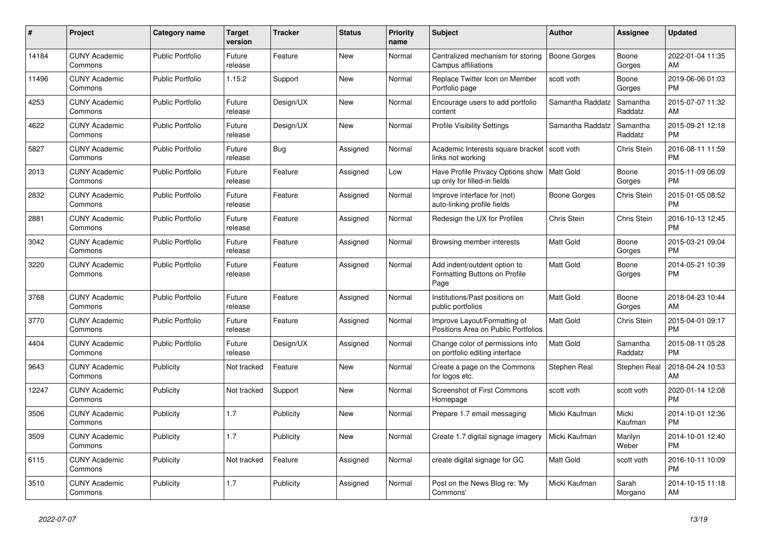| #     | <b>Project</b>                  | Category name           | <b>Target</b><br>version | <b>Tracker</b> | <b>Status</b> | <b>Priority</b><br>name | <b>Subject</b>                                                        | <b>Author</b>       | Assignee            | <b>Updated</b>                |
|-------|---------------------------------|-------------------------|--------------------------|----------------|---------------|-------------------------|-----------------------------------------------------------------------|---------------------|---------------------|-------------------------------|
| 14184 | <b>CUNY Academic</b><br>Commons | <b>Public Portfolio</b> | Future<br>release        | Feature        | New           | Normal                  | Centralized mechanism for storing<br>Campus affiliations              | <b>Boone Gorges</b> | Boone<br>Gorges     | 2022-01-04 11:35<br>AM        |
| 11496 | <b>CUNY Academic</b><br>Commons | <b>Public Portfolio</b> | 1.15.2                   | Support        | <b>New</b>    | Normal                  | Replace Twitter Icon on Member<br>Portfolio page                      | scott voth          | Boone<br>Gorges     | 2019-06-06 01:03<br><b>PM</b> |
| 4253  | <b>CUNY Academic</b><br>Commons | Public Portfolio        | Future<br>release        | Design/UX      | <b>New</b>    | Normal                  | Encourage users to add portfolio<br>content                           | Samantha Raddatz    | Samantha<br>Raddatz | 2015-07-07 11:32<br>AM        |
| 4622  | <b>CUNY Academic</b><br>Commons | Public Portfolio        | Future<br>release        | Design/UX      | <b>New</b>    | Normal                  | <b>Profile Visibility Settings</b>                                    | Samantha Raddatz    | Samantha<br>Raddatz | 2015-09-21 12:18<br><b>PM</b> |
| 5827  | <b>CUNY Academic</b><br>Commons | <b>Public Portfolio</b> | Future<br>release        | <b>Bug</b>     | Assigned      | Normal                  | Academic Interests square bracket<br>links not working                | scott voth          | Chris Stein         | 2016-08-11 11:59<br><b>PM</b> |
| 2013  | <b>CUNY Academic</b><br>Commons | <b>Public Portfolio</b> | Future<br>release        | Feature        | Assigned      | Low                     | Have Profile Privacy Options show<br>up only for filled-in fields     | Matt Gold           | Boone<br>Gorges     | 2015-11-09 06:09<br><b>PM</b> |
| 2832  | <b>CUNY Academic</b><br>Commons | <b>Public Portfolio</b> | Future<br>release        | Feature        | Assigned      | Normal                  | Improve interface for (not)<br>auto-linking profile fields            | Boone Gorges        | Chris Stein         | 2015-01-05 08:52<br><b>PM</b> |
| 2881  | <b>CUNY Academic</b><br>Commons | <b>Public Portfolio</b> | Future<br>release        | Feature        | Assigned      | Normal                  | Redesign the UX for Profiles                                          | Chris Stein         | Chris Stein         | 2016-10-13 12:45<br><b>PM</b> |
| 3042  | <b>CUNY Academic</b><br>Commons | <b>Public Portfolio</b> | Future<br>release        | Feature        | Assigned      | Normal                  | Browsing member interests                                             | Matt Gold           | Boone<br>Gorges     | 2015-03-21 09:04<br><b>PM</b> |
| 3220  | <b>CUNY Academic</b><br>Commons | <b>Public Portfolio</b> | Future<br>release        | Feature        | Assigned      | Normal                  | Add indent/outdent option to<br>Formatting Buttons on Profile<br>Page | <b>Matt Gold</b>    | Boone<br>Gorges     | 2014-05-21 10:39<br><b>PM</b> |
| 3768  | <b>CUNY Academic</b><br>Commons | <b>Public Portfolio</b> | Future<br>release        | Feature        | Assigned      | Normal                  | Institutions/Past positions on<br>public portfolios                   | Matt Gold           | Boone<br>Gorges     | 2018-04-23 10:44<br>AM        |
| 3770  | <b>CUNY Academic</b><br>Commons | <b>Public Portfolio</b> | Future<br>release        | Feature        | Assigned      | Normal                  | Improve Layout/Formatting of<br>Positions Area on Public Portfolios   | <b>Matt Gold</b>    | <b>Chris Stein</b>  | 2015-04-01 09:17<br><b>PM</b> |
| 4404  | <b>CUNY Academic</b><br>Commons | Public Portfolio        | Future<br>release        | Design/UX      | Assigned      | Normal                  | Change color of permissions info<br>on portfolio editing interface    | <b>Matt Gold</b>    | Samantha<br>Raddatz | 2015-08-11 05:28<br><b>PM</b> |
| 9643  | <b>CUNY Academic</b><br>Commons | Publicity               | Not tracked              | Feature        | New           | Normal                  | Create a page on the Commons<br>for logos etc.                        | Stephen Real        | Stephen Real        | 2018-04-24 10:53<br>AM        |
| 12247 | <b>CUNY Academic</b><br>Commons | Publicity               | Not tracked              | Support        | <b>New</b>    | Normal                  | <b>Screenshot of First Commons</b><br>Homepage                        | scott voth          | scott voth          | 2020-01-14 12:08<br><b>PM</b> |
| 3506  | <b>CUNY Academic</b><br>Commons | Publicity               | 1.7                      | Publicity      | <b>New</b>    | Normal                  | Prepare 1.7 email messaging                                           | Micki Kaufman       | Micki<br>Kaufman    | 2014-10-01 12:36<br><b>PM</b> |
| 3509  | <b>CUNY Academic</b><br>Commons | Publicity               | 1.7                      | Publicity      | New           | Normal                  | Create 1.7 digital signage imagery                                    | Micki Kaufman       | Marilyn<br>Weber    | 2014-10-01 12:40<br><b>PM</b> |
| 6115  | <b>CUNY Academic</b><br>Commons | Publicity               | Not tracked              | Feature        | Assigned      | Normal                  | create digital signage for GC                                         | Matt Gold           | scott voth          | 2016-10-11 10:09<br><b>PM</b> |
| 3510  | <b>CUNY Academic</b><br>Commons | Publicity               | 1.7                      | Publicity      | Assigned      | Normal                  | Post on the News Blog re: 'My<br>Commons'                             | Micki Kaufman       | Sarah<br>Morgano    | 2014-10-15 11:18<br>AM        |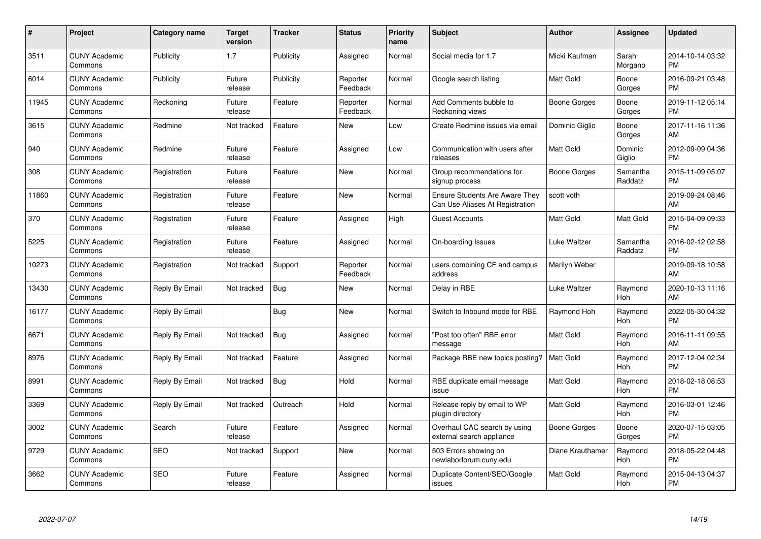| $\#$  | Project                         | Category name  | <b>Target</b><br>version | <b>Tracker</b> | <b>Status</b>        | <b>Priority</b><br>name | <b>Subject</b>                                                           | <b>Author</b>       | Assignee            | <b>Updated</b>                |
|-------|---------------------------------|----------------|--------------------------|----------------|----------------------|-------------------------|--------------------------------------------------------------------------|---------------------|---------------------|-------------------------------|
| 3511  | <b>CUNY Academic</b><br>Commons | Publicity      | 1.7                      | Publicity      | Assigned             | Normal                  | Social media for 1.7                                                     | Micki Kaufman       | Sarah<br>Morgano    | 2014-10-14 03:32<br><b>PM</b> |
| 6014  | <b>CUNY Academic</b><br>Commons | Publicity      | Future<br>release        | Publicity      | Reporter<br>Feedback | Normal                  | Google search listing                                                    | <b>Matt Gold</b>    | Boone<br>Gorges     | 2016-09-21 03:48<br><b>PM</b> |
| 11945 | <b>CUNY Academic</b><br>Commons | Reckoning      | Future<br>release        | Feature        | Reporter<br>Feedback | Normal                  | Add Comments bubble to<br>Reckoning views                                | <b>Boone Gorges</b> | Boone<br>Gorges     | 2019-11-12 05:14<br><b>PM</b> |
| 3615  | <b>CUNY Academic</b><br>Commons | Redmine        | Not tracked              | Feature        | New                  | Low                     | Create Redmine issues via email                                          | Dominic Giglio      | Boone<br>Gorges     | 2017-11-16 11:36<br>AM        |
| 940   | <b>CUNY Academic</b><br>Commons | Redmine        | Future<br>release        | Feature        | Assigned             | Low                     | Communication with users after<br>releases                               | <b>Matt Gold</b>    | Dominic<br>Giglio   | 2012-09-09 04:36<br><b>PM</b> |
| 308   | <b>CUNY Academic</b><br>Commons | Registration   | Future<br>release        | Feature        | <b>New</b>           | Normal                  | Group recommendations for<br>signup process                              | Boone Gorges        | Samantha<br>Raddatz | 2015-11-09 05:07<br><b>PM</b> |
| 11860 | <b>CUNY Academic</b><br>Commons | Registration   | Future<br>release        | Feature        | New                  | Normal                  | <b>Ensure Students Are Aware They</b><br>Can Use Aliases At Registration | scott voth          |                     | 2019-09-24 08:46<br>AM        |
| 370   | <b>CUNY Academic</b><br>Commons | Registration   | Future<br>release        | Feature        | Assigned             | High                    | <b>Guest Accounts</b>                                                    | Matt Gold           | Matt Gold           | 2015-04-09 09:33<br><b>PM</b> |
| 5225  | <b>CUNY Academic</b><br>Commons | Registration   | Future<br>release        | Feature        | Assigned             | Normal                  | On-boarding Issues                                                       | Luke Waltzer        | Samantha<br>Raddatz | 2016-02-12 02:58<br><b>PM</b> |
| 10273 | <b>CUNY Academic</b><br>Commons | Registration   | Not tracked              | Support        | Reporter<br>Feedback | Normal                  | users combining CF and campus<br>address                                 | Marilyn Weber       |                     | 2019-09-18 10:58<br>AM        |
| 13430 | <b>CUNY Academic</b><br>Commons | Reply By Email | Not tracked              | <b>Bug</b>     | New                  | Normal                  | Delay in RBE                                                             | Luke Waltzer        | Raymond<br>Hoh      | 2020-10-13 11:16<br>AM        |
| 16177 | <b>CUNY Academic</b><br>Commons | Reply By Email |                          | <b>Bug</b>     | <b>New</b>           | Normal                  | Switch to Inbound mode for RBE                                           | Raymond Hoh         | Raymond<br>Hoh      | 2022-05-30 04:32<br><b>PM</b> |
| 6671  | <b>CUNY Academic</b><br>Commons | Reply By Email | Not tracked              | <b>Bug</b>     | Assigned             | Normal                  | "Post too often" RBE error<br>message                                    | <b>Matt Gold</b>    | Raymond<br>Hoh      | 2016-11-11 09:55<br>AM        |
| 8976  | <b>CUNY Academic</b><br>Commons | Reply By Email | Not tracked              | Feature        | Assigned             | Normal                  | Package RBE new topics posting?                                          | <b>Matt Gold</b>    | Raymond<br>Hoh      | 2017-12-04 02:34<br><b>PM</b> |
| 8991  | <b>CUNY Academic</b><br>Commons | Reply By Email | Not tracked              | <b>Bug</b>     | Hold                 | Normal                  | RBE duplicate email message<br>issue                                     | Matt Gold           | Raymond<br>Hoh      | 2018-02-18 08:53<br><b>PM</b> |
| 3369  | <b>CUNY Academic</b><br>Commons | Reply By Email | Not tracked              | Outreach       | Hold                 | Normal                  | Release reply by email to WP<br>plugin directory                         | <b>Matt Gold</b>    | Raymond<br>Hoh      | 2016-03-01 12:46<br><b>PM</b> |
| 3002  | <b>CUNY Academic</b><br>Commons | Search         | Future<br>release        | Feature        | Assigned             | Normal                  | Overhaul CAC search by using<br>external search appliance                | Boone Gorges        | Boone<br>Gorges     | 2020-07-15 03:05<br><b>PM</b> |
| 9729  | <b>CUNY Academic</b><br>Commons | SEO            | Not tracked              | Support        | New                  | Normal                  | 503 Errors showing on<br>newlaborforum.cuny.edu                          | Diane Krauthamer    | Raymond<br>Hoh      | 2018-05-22 04:48<br><b>PM</b> |
| 3662  | <b>CUNY Academic</b><br>Commons | <b>SEO</b>     | Future<br>release        | Feature        | Assigned             | Normal                  | Duplicate Content/SEO/Google<br>issues                                   | Matt Gold           | Raymond<br>Hoh      | 2015-04-13 04:37<br><b>PM</b> |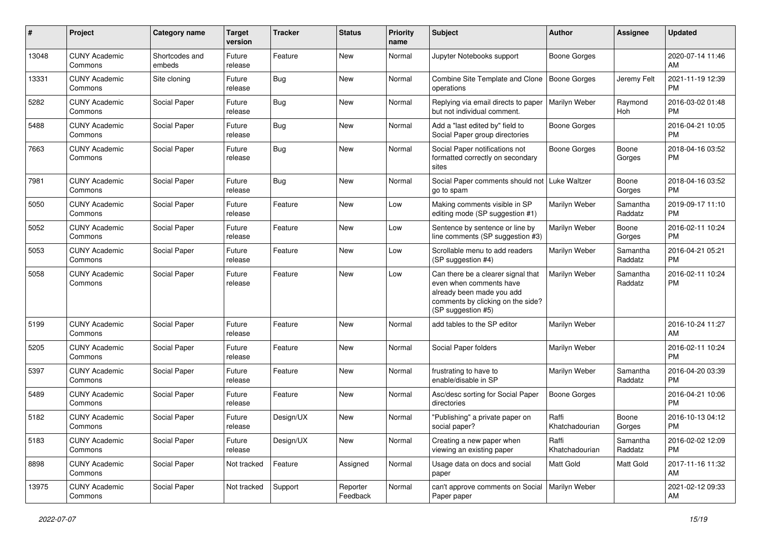| #     | Project                         | <b>Category name</b>     | <b>Target</b><br>version | <b>Tracker</b> | <b>Status</b>        | <b>Priority</b><br>name | <b>Subject</b>                                                                                                                                        | Author                  | <b>Assignee</b>     | <b>Updated</b>                |
|-------|---------------------------------|--------------------------|--------------------------|----------------|----------------------|-------------------------|-------------------------------------------------------------------------------------------------------------------------------------------------------|-------------------------|---------------------|-------------------------------|
| 13048 | <b>CUNY Academic</b><br>Commons | Shortcodes and<br>embeds | Future<br>release        | Feature        | <b>New</b>           | Normal                  | Jupyter Notebooks support                                                                                                                             | <b>Boone Gorges</b>     |                     | 2020-07-14 11:46<br>AM        |
| 13331 | <b>CUNY Academic</b><br>Commons | Site cloning             | Future<br>release        | Bug            | New                  | Normal                  | Combine Site Template and Clone<br>operations                                                                                                         | <b>Boone Gorges</b>     | Jeremy Felt         | 2021-11-19 12:39<br><b>PM</b> |
| 5282  | <b>CUNY Academic</b><br>Commons | Social Paper             | Future<br>release        | <b>Bug</b>     | <b>New</b>           | Normal                  | Replying via email directs to paper<br>but not individual comment.                                                                                    | Marilyn Weber           | Raymond<br>Hoh      | 2016-03-02 01:48<br><b>PM</b> |
| 5488  | <b>CUNY Academic</b><br>Commons | Social Paper             | Future<br>release        | <b>Bug</b>     | <b>New</b>           | Normal                  | Add a "last edited by" field to<br>Social Paper group directories                                                                                     | <b>Boone Gorges</b>     |                     | 2016-04-21 10:05<br><b>PM</b> |
| 7663  | <b>CUNY Academic</b><br>Commons | Social Paper             | Future<br>release        | <b>Bug</b>     | <b>New</b>           | Normal                  | Social Paper notifications not<br>formatted correctly on secondary<br>sites                                                                           | <b>Boone Gorges</b>     | Boone<br>Gorges     | 2018-04-16 03:52<br><b>PM</b> |
| 7981  | <b>CUNY Academic</b><br>Commons | Social Paper             | Future<br>release        | <b>Bug</b>     | <b>New</b>           | Normal                  | Social Paper comments should not   Luke Waltzer<br>go to spam                                                                                         |                         | Boone<br>Gorges     | 2018-04-16 03:52<br><b>PM</b> |
| 5050  | <b>CUNY Academic</b><br>Commons | Social Paper             | Future<br>release        | Feature        | New                  | Low                     | Making comments visible in SP<br>editing mode (SP suggestion #1)                                                                                      | Marilyn Weber           | Samantha<br>Raddatz | 2019-09-17 11:10<br><b>PM</b> |
| 5052  | <b>CUNY Academic</b><br>Commons | Social Paper             | Future<br>release        | Feature        | <b>New</b>           | Low                     | Sentence by sentence or line by<br>line comments (SP suggestion #3)                                                                                   | Marilyn Weber           | Boone<br>Gorges     | 2016-02-11 10:24<br><b>PM</b> |
| 5053  | <b>CUNY Academic</b><br>Commons | Social Paper             | Future<br>release        | Feature        | <b>New</b>           | Low                     | Scrollable menu to add readers<br>(SP suggestion #4)                                                                                                  | Marilyn Weber           | Samantha<br>Raddatz | 2016-04-21 05:21<br><b>PM</b> |
| 5058  | <b>CUNY Academic</b><br>Commons | Social Paper             | Future<br>release        | Feature        | New                  | Low                     | Can there be a clearer signal that<br>even when comments have<br>already been made you add<br>comments by clicking on the side?<br>(SP suggestion #5) | Marilyn Weber           | Samantha<br>Raddatz | 2016-02-11 10:24<br><b>PM</b> |
| 5199  | <b>CUNY Academic</b><br>Commons | Social Paper             | Future<br>release        | Feature        | <b>New</b>           | Normal                  | add tables to the SP editor                                                                                                                           | Marilyn Weber           |                     | 2016-10-24 11:27<br>AM        |
| 5205  | <b>CUNY Academic</b><br>Commons | Social Paper             | Future<br>release        | Feature        | <b>New</b>           | Normal                  | Social Paper folders                                                                                                                                  | Marilyn Weber           |                     | 2016-02-11 10:24<br><b>PM</b> |
| 5397  | <b>CUNY Academic</b><br>Commons | Social Paper             | Future<br>release        | Feature        | <b>New</b>           | Normal                  | frustrating to have to<br>enable/disable in SP                                                                                                        | Marilyn Weber           | Samantha<br>Raddatz | 2016-04-20 03:39<br><b>PM</b> |
| 5489  | <b>CUNY Academic</b><br>Commons | Social Paper             | Future<br>release        | Feature        | New                  | Normal                  | Asc/desc sorting for Social Paper<br>directories                                                                                                      | <b>Boone Gorges</b>     |                     | 2016-04-21 10:06<br><b>PM</b> |
| 5182  | <b>CUNY Academic</b><br>Commons | Social Paper             | Future<br>release        | Design/UX      | <b>New</b>           | Normal                  | "Publishing" a private paper on<br>social paper?                                                                                                      | Raffi<br>Khatchadourian | Boone<br>Gorges     | 2016-10-13 04:12<br><b>PM</b> |
| 5183  | <b>CUNY Academic</b><br>Commons | Social Paper             | Future<br>release        | Design/UX      | New                  | Normal                  | Creating a new paper when<br>viewing an existing paper                                                                                                | Raffi<br>Khatchadourian | Samantha<br>Raddatz | 2016-02-02 12:09<br><b>PM</b> |
| 8898  | <b>CUNY Academic</b><br>Commons | Social Paper             | Not tracked              | Feature        | Assigned             | Normal                  | Usage data on docs and social<br>paper                                                                                                                | Matt Gold               | Matt Gold           | 2017-11-16 11:32<br>AM        |
| 13975 | <b>CUNY Academic</b><br>Commons | Social Paper             | Not tracked              | Support        | Reporter<br>Feedback | Normal                  | can't approve comments on Social<br>Paper paper                                                                                                       | Marilyn Weber           |                     | 2021-02-12 09:33<br>AM        |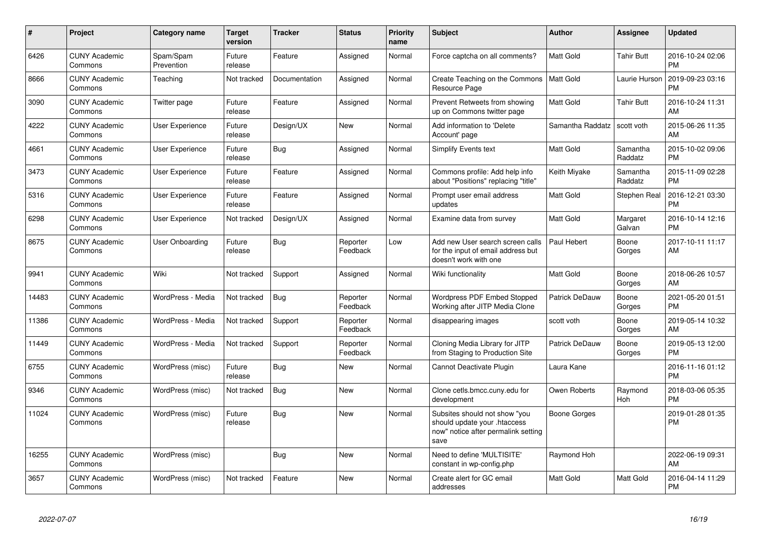| #     | Project                         | <b>Category name</b>    | <b>Target</b><br>version | <b>Tracker</b> | <b>Status</b>        | <b>Priority</b><br>name | <b>Subject</b>                                                                                               | Author           | <b>Assignee</b>     | <b>Updated</b>                |
|-------|---------------------------------|-------------------------|--------------------------|----------------|----------------------|-------------------------|--------------------------------------------------------------------------------------------------------------|------------------|---------------------|-------------------------------|
| 6426  | <b>CUNY Academic</b><br>Commons | Spam/Spam<br>Prevention | Future<br>release        | Feature        | Assigned             | Normal                  | Force captcha on all comments?                                                                               | <b>Matt Gold</b> | <b>Tahir Butt</b>   | 2016-10-24 02:06<br><b>PM</b> |
| 8666  | <b>CUNY Academic</b><br>Commons | Teaching                | Not tracked              | Documentation  | Assigned             | Normal                  | Create Teaching on the Commons<br>Resource Page                                                              | l Matt Gold      | Laurie Hurson       | 2019-09-23 03:16<br><b>PM</b> |
| 3090  | <b>CUNY Academic</b><br>Commons | Twitter page            | Future<br>release        | Feature        | Assigned             | Normal                  | Prevent Retweets from showing<br>up on Commons twitter page                                                  | <b>Matt Gold</b> | Tahir Butt          | 2016-10-24 11:31<br>AM        |
| 4222  | <b>CUNY Academic</b><br>Commons | User Experience         | Future<br>release        | Design/UX      | New                  | Normal                  | Add information to 'Delete<br>Account' page                                                                  | Samantha Raddatz | scott voth          | 2015-06-26 11:35<br>AM        |
| 4661  | <b>CUNY Academic</b><br>Commons | User Experience         | Future<br>release        | Bug            | Assigned             | Normal                  | <b>Simplify Events text</b>                                                                                  | <b>Matt Gold</b> | Samantha<br>Raddatz | 2015-10-02 09:06<br><b>PM</b> |
| 3473  | <b>CUNY Academic</b><br>Commons | User Experience         | Future<br>release        | Feature        | Assigned             | Normal                  | Commons profile: Add help info<br>about "Positions" replacing "title"                                        | Keith Miyake     | Samantha<br>Raddatz | 2015-11-09 02:28<br><b>PM</b> |
| 5316  | <b>CUNY Academic</b><br>Commons | User Experience         | Future<br>release        | Feature        | Assigned             | Normal                  | Prompt user email address<br>updates                                                                         | <b>Matt Gold</b> | Stephen Real        | 2016-12-21 03:30<br><b>PM</b> |
| 6298  | <b>CUNY Academic</b><br>Commons | User Experience         | Not tracked              | Design/UX      | Assigned             | Normal                  | Examine data from survey                                                                                     | Matt Gold        | Margaret<br>Galvan  | 2016-10-14 12:16<br><b>PM</b> |
| 8675  | <b>CUNY Academic</b><br>Commons | User Onboarding         | Future<br>release        | <b>Bug</b>     | Reporter<br>Feedback | Low                     | Add new User search screen calls<br>for the input of email address but<br>doesn't work with one              | Paul Hebert      | Boone<br>Gorges     | 2017-10-11 11:17<br>AM        |
| 9941  | <b>CUNY Academic</b><br>Commons | Wiki                    | Not tracked              | Support        | Assigned             | Normal                  | Wiki functionality                                                                                           | <b>Matt Gold</b> | Boone<br>Gorges     | 2018-06-26 10:57<br>AM        |
| 14483 | <b>CUNY Academic</b><br>Commons | WordPress - Media       | Not tracked              | <b>Bug</b>     | Reporter<br>Feedback | Normal                  | Wordpress PDF Embed Stopped<br>Working after JITP Media Clone                                                | Patrick DeDauw   | Boone<br>Gorges     | 2021-05-20 01:51<br><b>PM</b> |
| 11386 | <b>CUNY Academic</b><br>Commons | WordPress - Media       | Not tracked              | Support        | Reporter<br>Feedback | Normal                  | disappearing images                                                                                          | scott voth       | Boone<br>Gorges     | 2019-05-14 10:32<br>AM        |
| 11449 | <b>CUNY Academic</b><br>Commons | WordPress - Media       | Not tracked              | Support        | Reporter<br>Feedback | Normal                  | Cloning Media Library for JITP<br>from Staging to Production Site                                            | Patrick DeDauw   | Boone<br>Gorges     | 2019-05-13 12:00<br><b>PM</b> |
| 6755  | <b>CUNY Academic</b><br>Commons | WordPress (misc)        | Future<br>release        | Bug            | New                  | Normal                  | Cannot Deactivate Plugin                                                                                     | Laura Kane       |                     | 2016-11-16 01:12<br><b>PM</b> |
| 9346  | <b>CUNY Academic</b><br>Commons | WordPress (misc)        | Not tracked              | Bug            | New                  | Normal                  | Clone cetls.bmcc.cuny.edu for<br>development                                                                 | Owen Roberts     | Raymond<br>Hoh      | 2018-03-06 05:35<br><b>PM</b> |
| 11024 | <b>CUNY Academic</b><br>Commons | WordPress (misc)        | Future<br>release        | Bug            | New                  | Normal                  | Subsites should not show "you<br>should update your .htaccess<br>now" notice after permalink setting<br>save | Boone Gorges     |                     | 2019-01-28 01:35<br><b>PM</b> |
| 16255 | <b>CUNY Academic</b><br>Commons | WordPress (misc)        |                          | Bug            | <b>New</b>           | Normal                  | Need to define 'MULTISITE'<br>constant in wp-config.php                                                      | Raymond Hoh      |                     | 2022-06-19 09:31<br>AM        |
| 3657  | <b>CUNY Academic</b><br>Commons | WordPress (misc)        | Not tracked              | Feature        | <b>New</b>           | Normal                  | Create alert for GC email<br>addresses                                                                       | <b>Matt Gold</b> | Matt Gold           | 2016-04-14 11:29<br><b>PM</b> |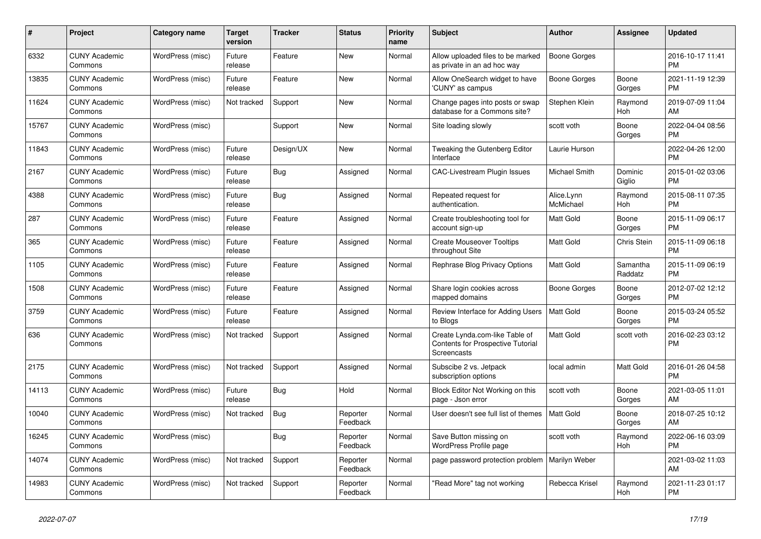| #     | Project                         | Category name    | <b>Target</b><br>version | <b>Tracker</b> | <b>Status</b>        | <b>Priority</b><br>name | <b>Subject</b>                                                                            | <b>Author</b>           | Assignee            | <b>Updated</b>                |
|-------|---------------------------------|------------------|--------------------------|----------------|----------------------|-------------------------|-------------------------------------------------------------------------------------------|-------------------------|---------------------|-------------------------------|
| 6332  | <b>CUNY Academic</b><br>Commons | WordPress (misc) | Future<br>release        | Feature        | New                  | Normal                  | Allow uploaded files to be marked<br>as private in an ad hoc way                          | <b>Boone Gorges</b>     |                     | 2016-10-17 11:41<br><b>PM</b> |
| 13835 | <b>CUNY Academic</b><br>Commons | WordPress (misc) | Future<br>release        | Feature        | <b>New</b>           | Normal                  | Allow OneSearch widget to have<br>'CUNY' as campus                                        | <b>Boone Gorges</b>     | Boone<br>Gorges     | 2021-11-19 12:39<br><b>PM</b> |
| 11624 | <b>CUNY Academic</b><br>Commons | WordPress (misc) | Not tracked              | Support        | <b>New</b>           | Normal                  | Change pages into posts or swap<br>database for a Commons site?                           | Stephen Klein           | Raymond<br>Hoh      | 2019-07-09 11:04<br>AM        |
| 15767 | <b>CUNY Academic</b><br>Commons | WordPress (misc) |                          | Support        | <b>New</b>           | Normal                  | Site loading slowly                                                                       | scott voth              | Boone<br>Gorges     | 2022-04-04 08:56<br><b>PM</b> |
| 11843 | <b>CUNY Academic</b><br>Commons | WordPress (misc) | Future<br>release        | Design/UX      | New                  | Normal                  | Tweaking the Gutenberg Editor<br>Interface                                                | Laurie Hurson           |                     | 2022-04-26 12:00<br><b>PM</b> |
| 2167  | <b>CUNY Academic</b><br>Commons | WordPress (misc) | Future<br>release        | Bug            | Assigned             | Normal                  | <b>CAC-Livestream Plugin Issues</b>                                                       | Michael Smith           | Dominic<br>Giglio   | 2015-01-02 03:06<br><b>PM</b> |
| 4388  | <b>CUNY Academic</b><br>Commons | WordPress (misc) | Future<br>release        | <b>Bug</b>     | Assigned             | Normal                  | Repeated request for<br>authentication.                                                   | Alice.Lynn<br>McMichael | Raymond<br>Hoh      | 2015-08-11 07:35<br><b>PM</b> |
| 287   | <b>CUNY Academic</b><br>Commons | WordPress (misc) | Future<br>release        | Feature        | Assigned             | Normal                  | Create troubleshooting tool for<br>account sign-up                                        | Matt Gold               | Boone<br>Gorges     | 2015-11-09 06:17<br><b>PM</b> |
| 365   | <b>CUNY Academic</b><br>Commons | WordPress (misc) | Future<br>release        | Feature        | Assigned             | Normal                  | <b>Create Mouseover Tooltips</b><br>throughout Site                                       | Matt Gold               | Chris Stein         | 2015-11-09 06:18<br><b>PM</b> |
| 1105  | <b>CUNY Academic</b><br>Commons | WordPress (misc) | Future<br>release        | Feature        | Assigned             | Normal                  | Rephrase Blog Privacy Options                                                             | <b>Matt Gold</b>        | Samantha<br>Raddatz | 2015-11-09 06:19<br><b>PM</b> |
| 1508  | <b>CUNY Academic</b><br>Commons | WordPress (misc) | Future<br>release        | Feature        | Assigned             | Normal                  | Share login cookies across<br>mapped domains                                              | Boone Gorges            | Boone<br>Gorges     | 2012-07-02 12:12<br><b>PM</b> |
| 3759  | <b>CUNY Academic</b><br>Commons | WordPress (misc) | Future<br>release        | Feature        | Assigned             | Normal                  | Review Interface for Adding Users<br>to Blogs                                             | <b>Matt Gold</b>        | Boone<br>Gorges     | 2015-03-24 05:52<br><b>PM</b> |
| 636   | <b>CUNY Academic</b><br>Commons | WordPress (misc) | Not tracked              | Support        | Assigned             | Normal                  | Create Lynda.com-like Table of<br><b>Contents for Prospective Tutorial</b><br>Screencasts | Matt Gold               | scott voth          | 2016-02-23 03:12<br><b>PM</b> |
| 2175  | <b>CUNY Academic</b><br>Commons | WordPress (misc) | Not tracked              | Support        | Assigned             | Normal                  | Subscibe 2 vs. Jetpack<br>subscription options                                            | local admin             | Matt Gold           | 2016-01-26 04:58<br><b>PM</b> |
| 14113 | <b>CUNY Academic</b><br>Commons | WordPress (misc) | Future<br>release        | Bug            | Hold                 | Normal                  | Block Editor Not Working on this<br>page - Json error                                     | scott voth              | Boone<br>Gorges     | 2021-03-05 11:01<br>AM        |
| 10040 | <b>CUNY Academic</b><br>Commons | WordPress (misc) | Not tracked              | <b>Bug</b>     | Reporter<br>Feedback | Normal                  | User doesn't see full list of themes                                                      | <b>Matt Gold</b>        | Boone<br>Gorges     | 2018-07-25 10:12<br>AM        |
| 16245 | <b>CUNY Academic</b><br>Commons | WordPress (misc) |                          | Bug            | Reporter<br>Feedback | Normal                  | Save Button missing on<br>WordPress Profile page                                          | scott voth              | Raymond<br>Hoh      | 2022-06-16 03:09<br><b>PM</b> |
| 14074 | <b>CUNY Academic</b><br>Commons | WordPress (misc) | Not tracked              | Support        | Reporter<br>Feedback | Normal                  | page password protection problem   Marilyn Weber                                          |                         |                     | 2021-03-02 11:03<br>AM        |
| 14983 | <b>CUNY Academic</b><br>Commons | WordPress (misc) | Not tracked              | Support        | Reporter<br>Feedback | Normal                  | "Read More" tag not working                                                               | Rebecca Krisel          | Raymond<br>Hoh      | 2021-11-23 01:17<br><b>PM</b> |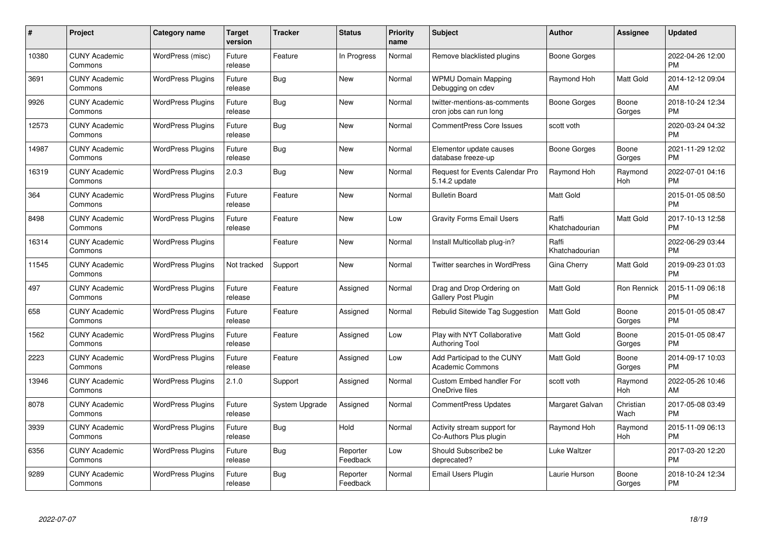| #     | Project                         | <b>Category name</b>     | <b>Target</b><br>version | <b>Tracker</b> | <b>Status</b>        | <b>Priority</b><br>name | <b>Subject</b>                                          | <b>Author</b>           | <b>Assignee</b>   | <b>Updated</b>                |
|-------|---------------------------------|--------------------------|--------------------------|----------------|----------------------|-------------------------|---------------------------------------------------------|-------------------------|-------------------|-------------------------------|
| 10380 | <b>CUNY Academic</b><br>Commons | WordPress (misc)         | Future<br>release        | Feature        | In Progress          | Normal                  | Remove blacklisted plugins                              | Boone Gorges            |                   | 2022-04-26 12:00<br><b>PM</b> |
| 3691  | <b>CUNY Academic</b><br>Commons | <b>WordPress Plugins</b> | Future<br>release        | Bug            | New                  | Normal                  | <b>WPMU Domain Mapping</b><br>Debugging on cdev         | Raymond Hoh             | Matt Gold         | 2014-12-12 09:04<br>AM        |
| 9926  | <b>CUNY Academic</b><br>Commons | <b>WordPress Plugins</b> | Future<br>release        | Bug            | <b>New</b>           | Normal                  | twitter-mentions-as-comments<br>cron jobs can run long  | Boone Gorges            | Boone<br>Gorges   | 2018-10-24 12:34<br><b>PM</b> |
| 12573 | <b>CUNY Academic</b><br>Commons | <b>WordPress Plugins</b> | Future<br>release        | Bug            | New                  | Normal                  | <b>CommentPress Core Issues</b>                         | scott voth              |                   | 2020-03-24 04:32<br><b>PM</b> |
| 14987 | <b>CUNY Academic</b><br>Commons | <b>WordPress Plugins</b> | Future<br>release        | <b>Bug</b>     | <b>New</b>           | Normal                  | Elementor update causes<br>database freeze-up           | Boone Gorges            | Boone<br>Gorges   | 2021-11-29 12:02<br><b>PM</b> |
| 16319 | <b>CUNY Academic</b><br>Commons | <b>WordPress Plugins</b> | 2.0.3                    | Bug            | <b>New</b>           | Normal                  | <b>Request for Events Calendar Pro</b><br>5.14.2 update | Raymond Hoh             | Raymond<br>Hoh    | 2022-07-01 04:16<br><b>PM</b> |
| 364   | <b>CUNY Academic</b><br>Commons | <b>WordPress Plugins</b> | Future<br>release        | Feature        | New                  | Normal                  | <b>Bulletin Board</b>                                   | Matt Gold               |                   | 2015-01-05 08:50<br><b>PM</b> |
| 8498  | <b>CUNY Academic</b><br>Commons | <b>WordPress Plugins</b> | Future<br>release        | Feature        | <b>New</b>           | Low                     | <b>Gravity Forms Email Users</b>                        | Raffi<br>Khatchadourian | Matt Gold         | 2017-10-13 12:58<br><b>PM</b> |
| 16314 | <b>CUNY Academic</b><br>Commons | <b>WordPress Plugins</b> |                          | Feature        | New                  | Normal                  | Install Multicollab plug-in?                            | Raffi<br>Khatchadourian |                   | 2022-06-29 03:44<br><b>PM</b> |
| 11545 | <b>CUNY Academic</b><br>Commons | <b>WordPress Plugins</b> | Not tracked              | Support        | New                  | Normal                  | <b>Twitter searches in WordPress</b>                    | Gina Cherry             | Matt Gold         | 2019-09-23 01:03<br><b>PM</b> |
| 497   | <b>CUNY Academic</b><br>Commons | <b>WordPress Plugins</b> | Future<br>release        | Feature        | Assigned             | Normal                  | Drag and Drop Ordering on<br>Gallery Post Plugin        | <b>Matt Gold</b>        | Ron Rennick       | 2015-11-09 06:18<br><b>PM</b> |
| 658   | <b>CUNY Academic</b><br>Commons | <b>WordPress Plugins</b> | Future<br>release        | Feature        | Assigned             | Normal                  | Rebulid Sitewide Tag Suggestion                         | Matt Gold               | Boone<br>Gorges   | 2015-01-05 08:47<br><b>PM</b> |
| 1562  | <b>CUNY Academic</b><br>Commons | <b>WordPress Plugins</b> | Future<br>release        | Feature        | Assigned             | Low                     | Play with NYT Collaborative<br><b>Authoring Tool</b>    | Matt Gold               | Boone<br>Gorges   | 2015-01-05 08:47<br><b>PM</b> |
| 2223  | <b>CUNY Academic</b><br>Commons | <b>WordPress Plugins</b> | Future<br>release        | Feature        | Assigned             | Low                     | Add Participad to the CUNY<br><b>Academic Commons</b>   | <b>Matt Gold</b>        | Boone<br>Gorges   | 2014-09-17 10:03<br><b>PM</b> |
| 13946 | <b>CUNY Academic</b><br>Commons | <b>WordPress Plugins</b> | 2.1.0                    | Support        | Assigned             | Normal                  | <b>Custom Embed handler For</b><br>OneDrive files       | scott voth              | Raymond<br>Hoh    | 2022-05-26 10:46<br>AM        |
| 8078  | <b>CUNY Academic</b><br>Commons | <b>WordPress Plugins</b> | Future<br>release        | System Upgrade | Assigned             | Normal                  | <b>CommentPress Updates</b>                             | Margaret Galvan         | Christian<br>Wach | 2017-05-08 03:49<br><b>PM</b> |
| 3939  | <b>CUNY Academic</b><br>Commons | <b>WordPress Plugins</b> | Future<br>release        | Bug            | Hold                 | Normal                  | Activity stream support for<br>Co-Authors Plus plugin   | Raymond Hoh             | Raymond<br>Hoh    | 2015-11-09 06:13<br><b>PM</b> |
| 6356  | <b>CUNY Academic</b><br>Commons | <b>WordPress Plugins</b> | Future<br>release        | <b>Bug</b>     | Reporter<br>Feedback | Low                     | Should Subscribe2 be<br>deprecated?                     | Luke Waltzer            |                   | 2017-03-20 12:20<br><b>PM</b> |
| 9289  | <b>CUNY Academic</b><br>Commons | <b>WordPress Plugins</b> | Future<br>release        | Bug            | Reporter<br>Feedback | Normal                  | Email Users Plugin                                      | Laurie Hurson           | Boone<br>Gorges   | 2018-10-24 12:34<br><b>PM</b> |